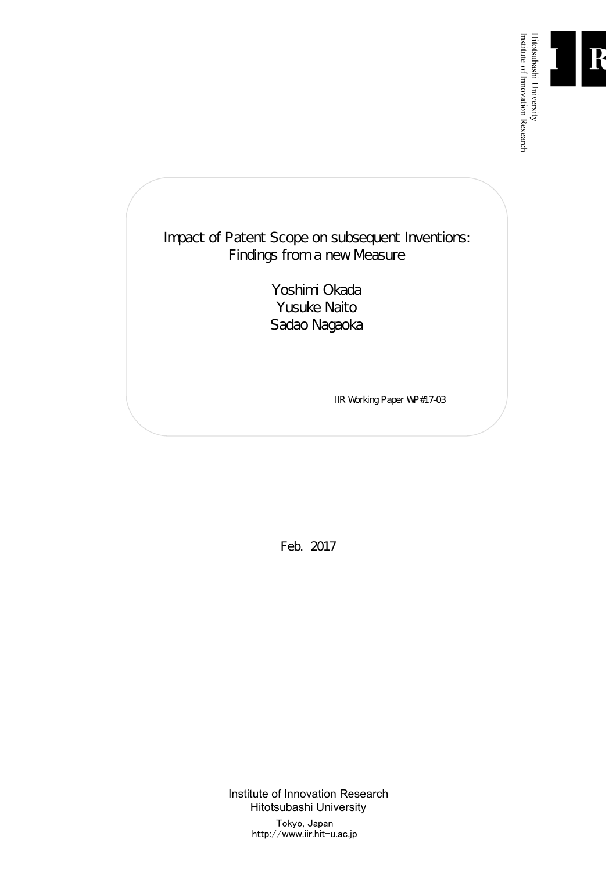

Institute of Innovation Research

## Impact of Patent Scope on subsequent Inventions: Findings from a new Measure

Yoshimi Okada Yusuke Naito Sadao Nagaoka

IIR Working Paper WP#17-03

Feb. 2017

Institute of Innovation Research Hitotsubashi University Tokyo, Japan http://www.iir.hit-u.ac.jp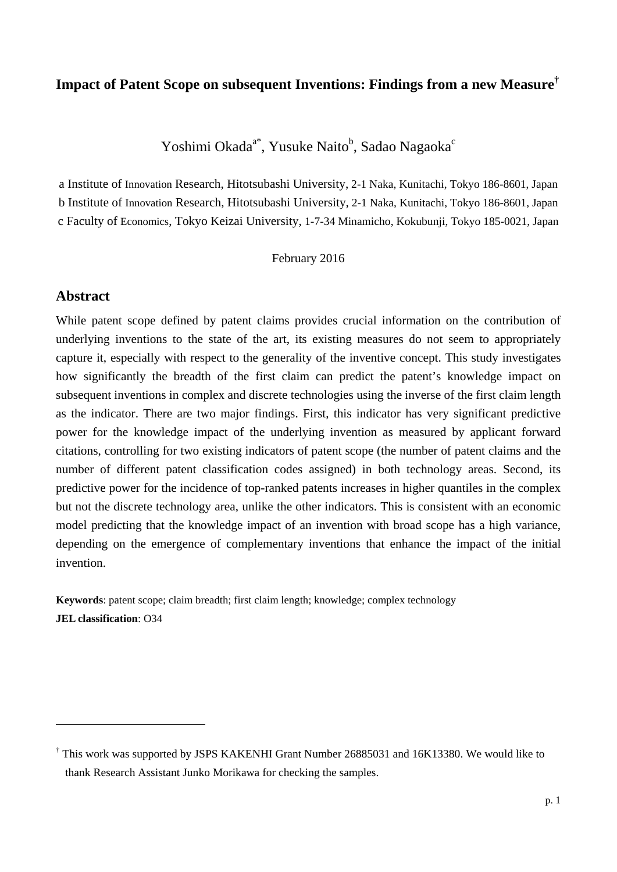## **Impact of Patent Scope on subsequent Inventions: Findings from a new Measure†**

Yoshimi Okada<sup>a\*</sup>, Yusuke Naito<sup>b</sup>, Sadao Nagaoka<sup>c</sup>

a Institute of Innovation Research, Hitotsubashi University, 2-1 Naka, Kunitachi, Tokyo 186-8601, Japan b Institute of Innovation Research, Hitotsubashi University, 2-1 Naka, Kunitachi, Tokyo 186-8601, Japan c Faculty of Economics, Tokyo Keizai University, 1-7-34 Minamicho, Kokubunji, Tokyo 185-0021, Japan

February 2016

## **Abstract**

1

While patent scope defined by patent claims provides crucial information on the contribution of underlying inventions to the state of the art, its existing measures do not seem to appropriately capture it, especially with respect to the generality of the inventive concept. This study investigates how significantly the breadth of the first claim can predict the patent's knowledge impact on subsequent inventions in complex and discrete technologies using the inverse of the first claim length as the indicator. There are two major findings. First, this indicator has very significant predictive power for the knowledge impact of the underlying invention as measured by applicant forward citations, controlling for two existing indicators of patent scope (the number of patent claims and the number of different patent classification codes assigned) in both technology areas. Second, its predictive power for the incidence of top-ranked patents increases in higher quantiles in the complex but not the discrete technology area, unlike the other indicators. This is consistent with an economic model predicting that the knowledge impact of an invention with broad scope has a high variance, depending on the emergence of complementary inventions that enhance the impact of the initial invention.

**Keywords**: patent scope; claim breadth; first claim length; knowledge; complex technology **JEL classification**: O34

<sup>†</sup> This work was supported by JSPS KAKENHI Grant Number 26885031 and 16K13380. We would like to thank Research Assistant Junko Morikawa for checking the samples.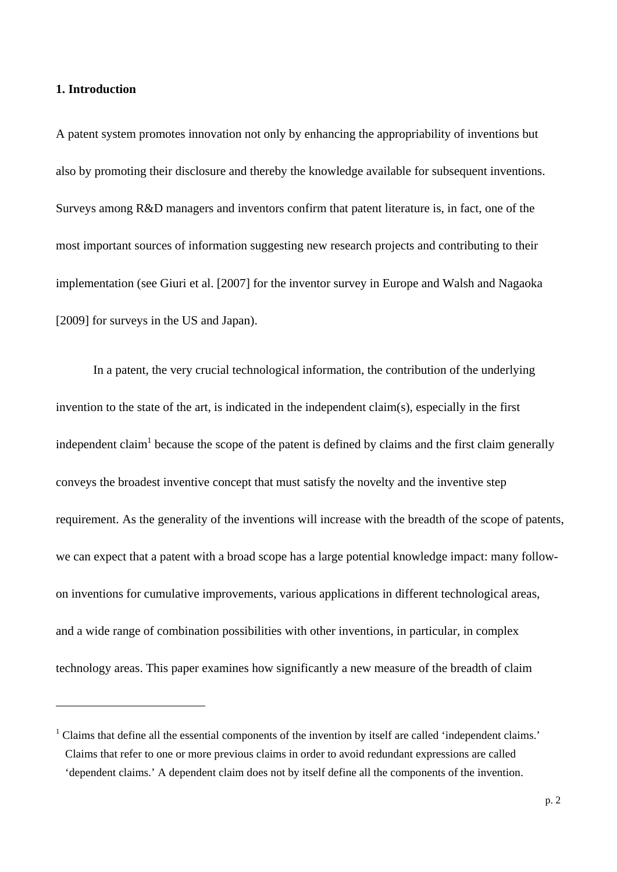### **1. Introduction**

1

A patent system promotes innovation not only by enhancing the appropriability of inventions but also by promoting their disclosure and thereby the knowledge available for subsequent inventions. Surveys among R&D managers and inventors confirm that patent literature is, in fact, one of the most important sources of information suggesting new research projects and contributing to their implementation (see Giuri et al. [2007] for the inventor survey in Europe and Walsh and Nagaoka [2009] for surveys in the US and Japan).

 In a patent, the very crucial technological information, the contribution of the underlying invention to the state of the art, is indicated in the independent claim(s), especially in the first independent claim<sup>1</sup> because the scope of the patent is defined by claims and the first claim generally conveys the broadest inventive concept that must satisfy the novelty and the inventive step requirement. As the generality of the inventions will increase with the breadth of the scope of patents, we can expect that a patent with a broad scope has a large potential knowledge impact: many followon inventions for cumulative improvements, various applications in different technological areas, and a wide range of combination possibilities with other inventions, in particular, in complex technology areas. This paper examines how significantly a new measure of the breadth of claim

<sup>&</sup>lt;sup>1</sup> Claims that define all the essential components of the invention by itself are called 'independent claims.' Claims that refer to one or more previous claims in order to avoid redundant expressions are called 'dependent claims.' A dependent claim does not by itself define all the components of the invention.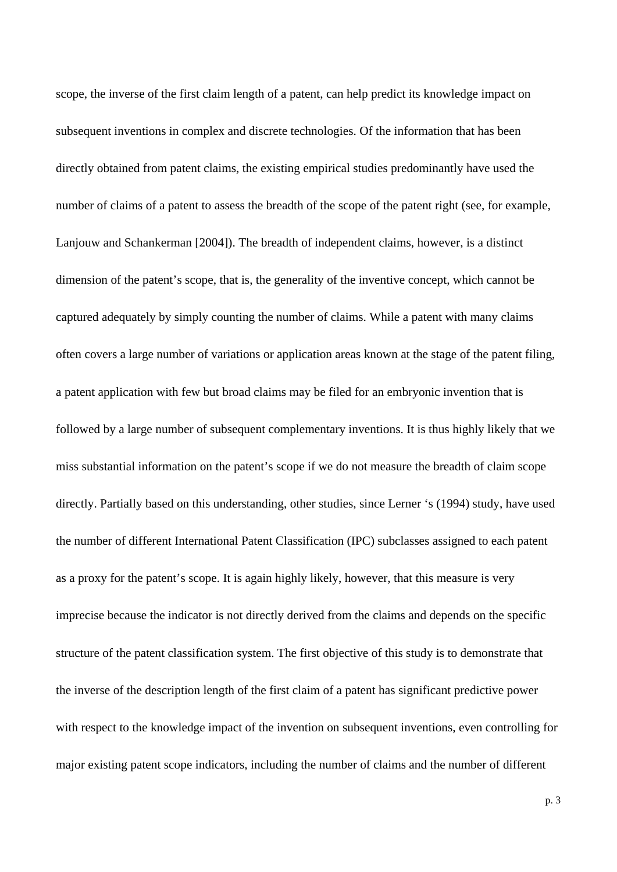scope, the inverse of the first claim length of a patent, can help predict its knowledge impact on subsequent inventions in complex and discrete technologies. Of the information that has been directly obtained from patent claims, the existing empirical studies predominantly have used the number of claims of a patent to assess the breadth of the scope of the patent right (see, for example, Lanjouw and Schankerman [2004]). The breadth of independent claims, however, is a distinct dimension of the patent's scope, that is, the generality of the inventive concept, which cannot be captured adequately by simply counting the number of claims. While a patent with many claims often covers a large number of variations or application areas known at the stage of the patent filing, a patent application with few but broad claims may be filed for an embryonic invention that is followed by a large number of subsequent complementary inventions. It is thus highly likely that we miss substantial information on the patent's scope if we do not measure the breadth of claim scope directly. Partially based on this understanding, other studies, since Lerner 's (1994) study, have used the number of different International Patent Classification (IPC) subclasses assigned to each patent as a proxy for the patent's scope. It is again highly likely, however, that this measure is very imprecise because the indicator is not directly derived from the claims and depends on the specific structure of the patent classification system. The first objective of this study is to demonstrate that the inverse of the description length of the first claim of a patent has significant predictive power with respect to the knowledge impact of the invention on subsequent inventions, even controlling for major existing patent scope indicators, including the number of claims and the number of different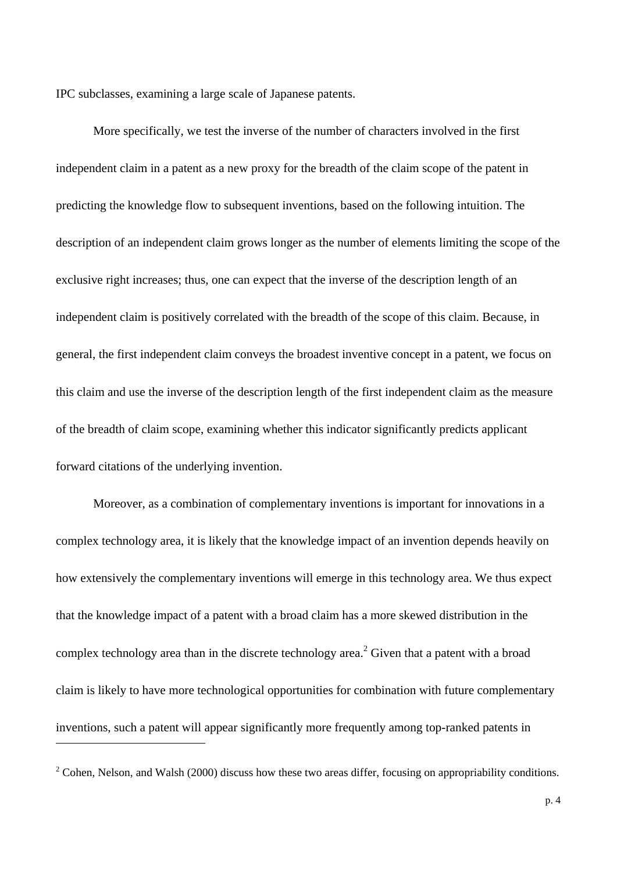IPC subclasses, examining a large scale of Japanese patents.

More specifically, we test the inverse of the number of characters involved in the first independent claim in a patent as a new proxy for the breadth of the claim scope of the patent in predicting the knowledge flow to subsequent inventions, based on the following intuition. The description of an independent claim grows longer as the number of elements limiting the scope of the exclusive right increases; thus, one can expect that the inverse of the description length of an independent claim is positively correlated with the breadth of the scope of this claim. Because, in general, the first independent claim conveys the broadest inventive concept in a patent, we focus on this claim and use the inverse of the description length of the first independent claim as the measure of the breadth of claim scope, examining whether this indicator significantly predicts applicant forward citations of the underlying invention.

Moreover, as a combination of complementary inventions is important for innovations in a complex technology area, it is likely that the knowledge impact of an invention depends heavily on how extensively the complementary inventions will emerge in this technology area. We thus expect that the knowledge impact of a patent with a broad claim has a more skewed distribution in the complex technology area than in the discrete technology area.<sup>2</sup> Given that a patent with a broad claim is likely to have more technological opportunities for combination with future complementary inventions, such a patent will appear significantly more frequently among top-ranked patents in

1

 $2^2$  Cohen, Nelson, and Walsh (2000) discuss how these two areas differ, focusing on appropriability conditions.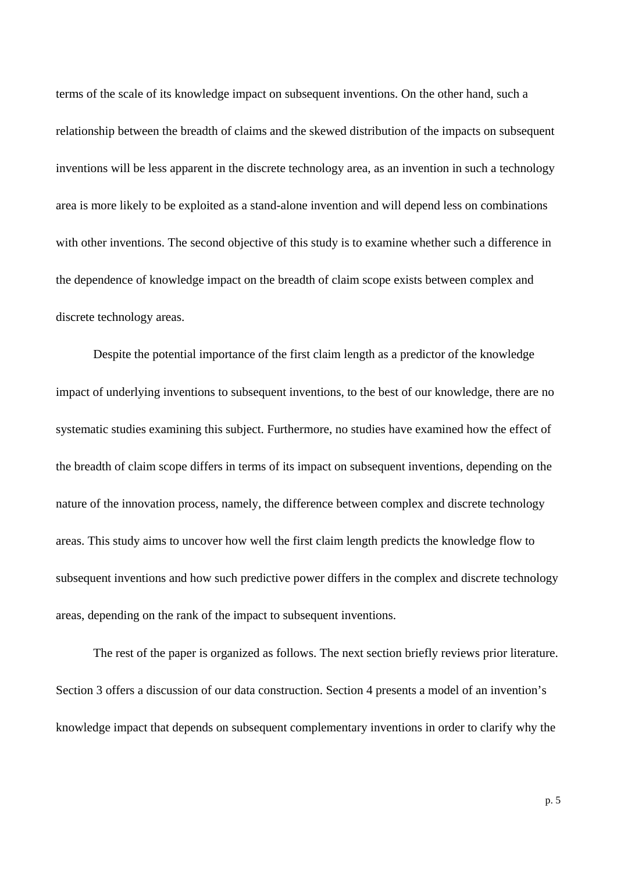terms of the scale of its knowledge impact on subsequent inventions. On the other hand, such a relationship between the breadth of claims and the skewed distribution of the impacts on subsequent inventions will be less apparent in the discrete technology area, as an invention in such a technology area is more likely to be exploited as a stand-alone invention and will depend less on combinations with other inventions. The second objective of this study is to examine whether such a difference in the dependence of knowledge impact on the breadth of claim scope exists between complex and discrete technology areas.

Despite the potential importance of the first claim length as a predictor of the knowledge impact of underlying inventions to subsequent inventions, to the best of our knowledge, there are no systematic studies examining this subject. Furthermore, no studies have examined how the effect of the breadth of claim scope differs in terms of its impact on subsequent inventions, depending on the nature of the innovation process, namely, the difference between complex and discrete technology areas. This study aims to uncover how well the first claim length predicts the knowledge flow to subsequent inventions and how such predictive power differs in the complex and discrete technology areas, depending on the rank of the impact to subsequent inventions.

The rest of the paper is organized as follows. The next section briefly reviews prior literature. Section 3 offers a discussion of our data construction. Section 4 presents a model of an invention's knowledge impact that depends on subsequent complementary inventions in order to clarify why the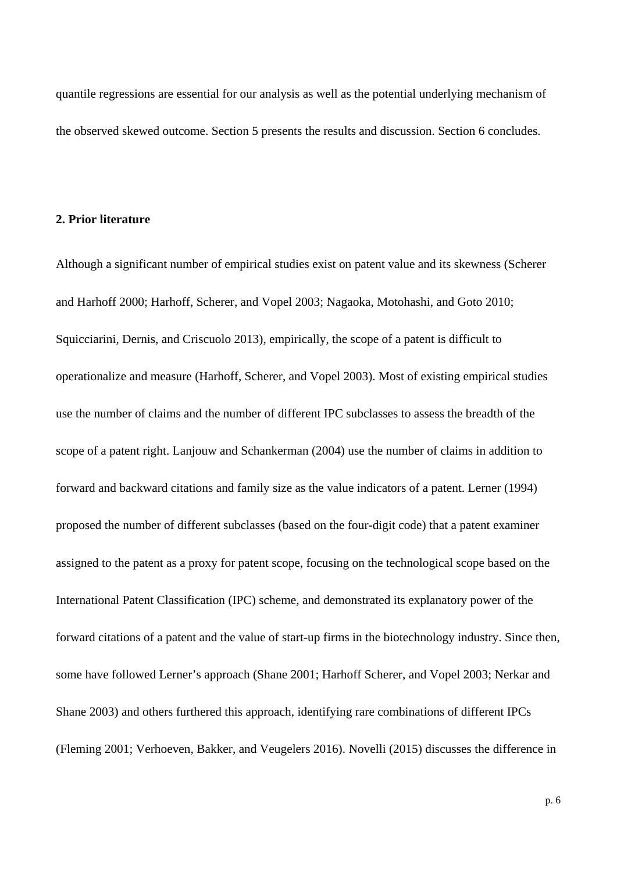quantile regressions are essential for our analysis as well as the potential underlying mechanism of the observed skewed outcome. Section 5 presents the results and discussion. Section 6 concludes.

#### **2. Prior literature**

Although a significant number of empirical studies exist on patent value and its skewness (Scherer and Harhoff 2000; Harhoff, Scherer, and Vopel 2003; Nagaoka, Motohashi, and Goto 2010; Squicciarini, Dernis, and Criscuolo 2013), empirically, the scope of a patent is difficult to operationalize and measure (Harhoff, Scherer, and Vopel 2003). Most of existing empirical studies use the number of claims and the number of different IPC subclasses to assess the breadth of the scope of a patent right. Lanjouw and Schankerman (2004) use the number of claims in addition to forward and backward citations and family size as the value indicators of a patent. Lerner (1994) proposed the number of different subclasses (based on the four-digit code) that a patent examiner assigned to the patent as a proxy for patent scope, focusing on the technological scope based on the International Patent Classification (IPC) scheme, and demonstrated its explanatory power of the forward citations of a patent and the value of start-up firms in the biotechnology industry. Since then, some have followed Lerner's approach (Shane 2001; Harhoff Scherer, and Vopel 2003; Nerkar and Shane 2003) and others furthered this approach, identifying rare combinations of different IPCs (Fleming 2001; Verhoeven, Bakker, and Veugelers 2016). Novelli (2015) discusses the difference in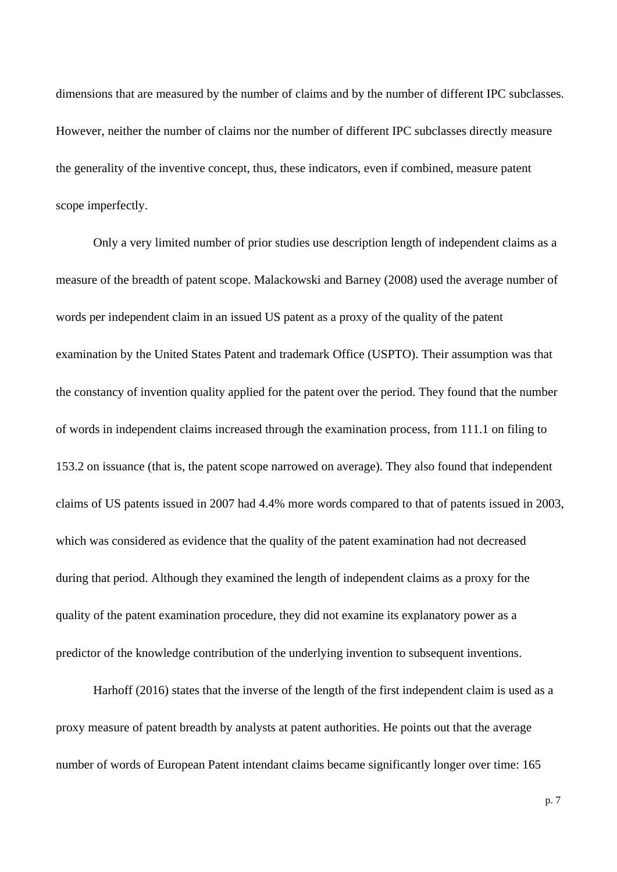dimensions that are measured by the number of claims and by the number of different IPC subclasses. However, neither the number of claims nor the number of different IPC subclasses directly measure the generality of the inventive concept, thus, these indicators, even if combined, measure patent scope imperfectly.

Only a very limited number of prior studies use description length of independent claims as a measure of the breadth of patent scope. Malackowski and Barney (2008) used the average number of words per independent claim in an issued US patent as a proxy of the quality of the patent examination by the United States Patent and trademark Office (USPTO). Their assumption was that the constancy of invention quality applied for the patent over the period. They found that the number of words in independent claims increased through the examination process, from 111.1 on filing to 153.2 on issuance (that is, the patent scope narrowed on average). They also found that independent claims of US patents issued in 2007 had 4.4% more words compared to that of patents issued in 2003, which was considered as evidence that the quality of the patent examination had not decreased during that period. Although they examined the length of independent claims as a proxy for the quality of the patent examination procedure, they did not examine its explanatory power as a predictor of the knowledge contribution of the underlying invention to subsequent inventions.

Harhoff (2016) states that the inverse of the length of the first independent claim is used as a proxy measure of patent breadth by analysts at patent authorities. He points out that the average number of words of European Patent intendant claims became significantly longer over time: 165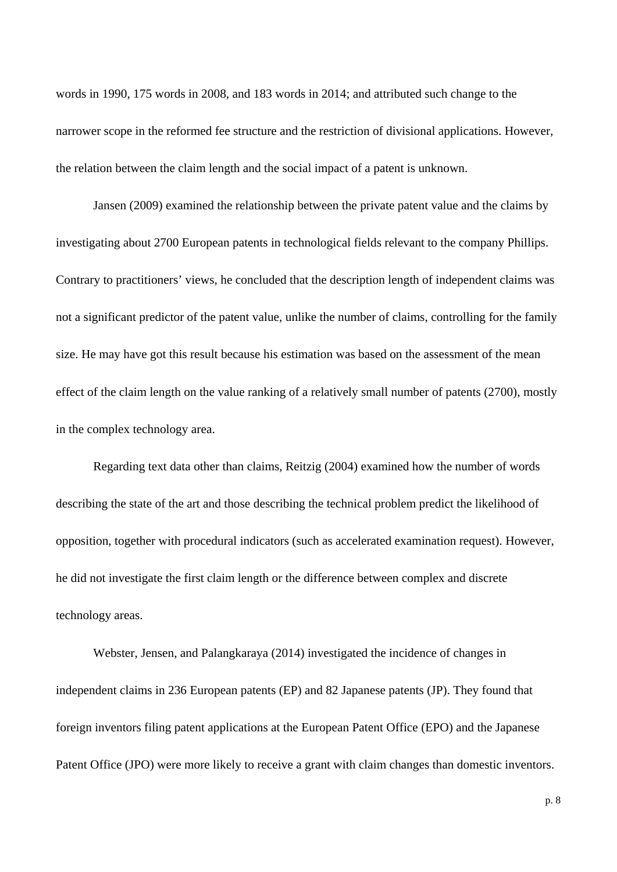words in 1990, 175 words in 2008, and 183 words in 2014; and attributed such change to the narrower scope in the reformed fee structure and the restriction of divisional applications. However, the relation between the claim length and the social impact of a patent is unknown.

Jansen (2009) examined the relationship between the private patent value and the claims by investigating about 2700 European patents in technological fields relevant to the company Phillips. Contrary to practitioners' views, he concluded that the description length of independent claims was not a significant predictor of the patent value, unlike the number of claims, controlling for the family size. He may have got this result because his estimation was based on the assessment of the mean effect of the claim length on the value ranking of a relatively small number of patents (2700), mostly in the complex technology area.

Regarding text data other than claims, Reitzig (2004) examined how the number of words describing the state of the art and those describing the technical problem predict the likelihood of opposition, together with procedural indicators (such as accelerated examination request). However, he did not investigate the first claim length or the difference between complex and discrete technology areas.

Webster, Jensen, and Palangkaraya (2014) investigated the incidence of changes in independent claims in 236 European patents (EP) and 82 Japanese patents (JP). They found that foreign inventors filing patent applications at the European Patent Office (EPO) and the Japanese Patent Office (JPO) were more likely to receive a grant with claim changes than domestic inventors.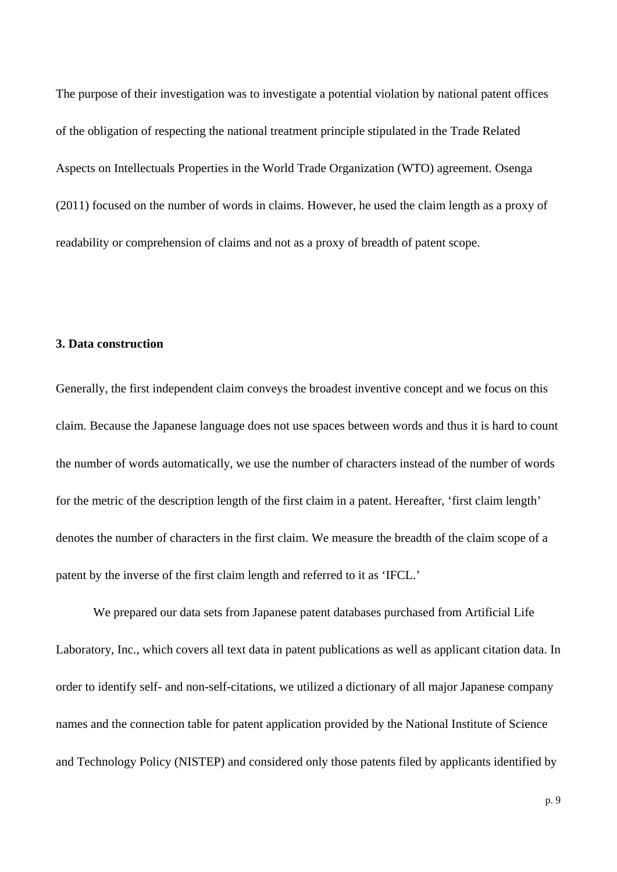The purpose of their investigation was to investigate a potential violation by national patent offices of the obligation of respecting the national treatment principle stipulated in the Trade Related Aspects on Intellectuals Properties in the World Trade Organization (WTO) agreement. Osenga (2011) focused on the number of words in claims. However, he used the claim length as a proxy of readability or comprehension of claims and not as a proxy of breadth of patent scope.

#### **3. Data construction**

Generally, the first independent claim conveys the broadest inventive concept and we focus on this claim. Because the Japanese language does not use spaces between words and thus it is hard to count the number of words automatically, we use the number of characters instead of the number of words for the metric of the description length of the first claim in a patent. Hereafter, 'first claim length' denotes the number of characters in the first claim. We measure the breadth of the claim scope of a patent by the inverse of the first claim length and referred to it as 'IFCL.'

We prepared our data sets from Japanese patent databases purchased from Artificial Life Laboratory, Inc., which covers all text data in patent publications as well as applicant citation data. In order to identify self- and non-self-citations, we utilized a dictionary of all major Japanese company names and the connection table for patent application provided by the National Institute of Science and Technology Policy (NISTEP) and considered only those patents filed by applicants identified by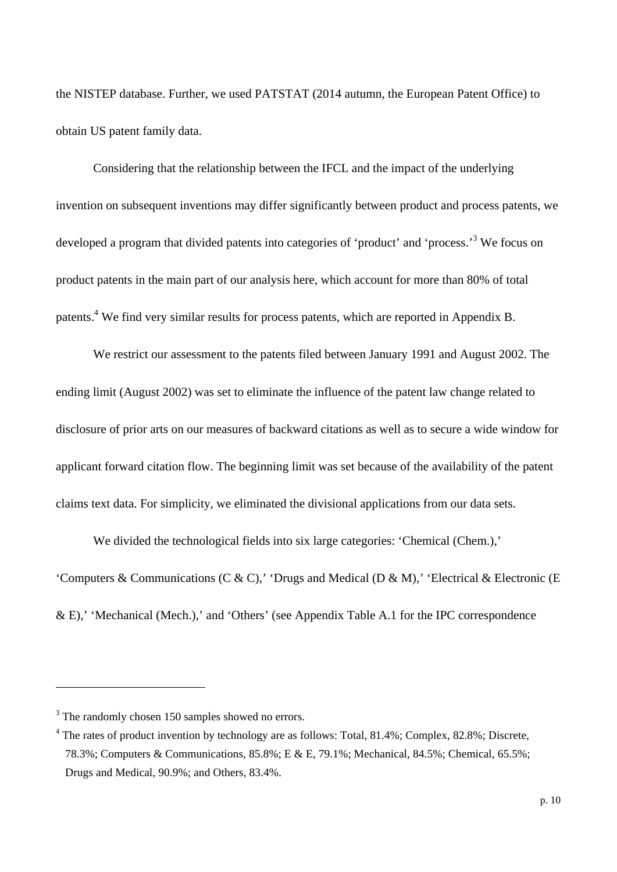the NISTEP database. Further, we used PATSTAT (2014 autumn, the European Patent Office) to obtain US patent family data.

Considering that the relationship between the IFCL and the impact of the underlying invention on subsequent inventions may differ significantly between product and process patents, we developed a program that divided patents into categories of 'product' and 'process.<sup>3</sup> We focus on product patents in the main part of our analysis here, which account for more than 80% of total patents.<sup>4</sup> We find very similar results for process patents, which are reported in Appendix B.

We restrict our assessment to the patents filed between January 1991 and August 2002. The ending limit (August 2002) was set to eliminate the influence of the patent law change related to disclosure of prior arts on our measures of backward citations as well as to secure a wide window for applicant forward citation flow. The beginning limit was set because of the availability of the patent claims text data. For simplicity, we eliminated the divisional applications from our data sets.

We divided the technological fields into six large categories: 'Chemical (Chem.),' 'Computers & Communications (C & C),' 'Drugs and Medical (D & M),' 'Electrical & Electronic (E & E),' 'Mechanical (Mech.),' and 'Others' (see Appendix Table A.1 for the IPC correspondence

1

<sup>&</sup>lt;sup>3</sup> The randomly chosen 150 samples showed no errors.

<sup>&</sup>lt;sup>4</sup> The rates of product invention by technology are as follows: Total, 81.4%; Complex, 82.8%; Discrete, 78.3%; Computers & Communications, 85.8%; E & E, 79.1%; Mechanical, 84.5%; Chemical, 65.5%; Drugs and Medical, 90.9%; and Others, 83.4%.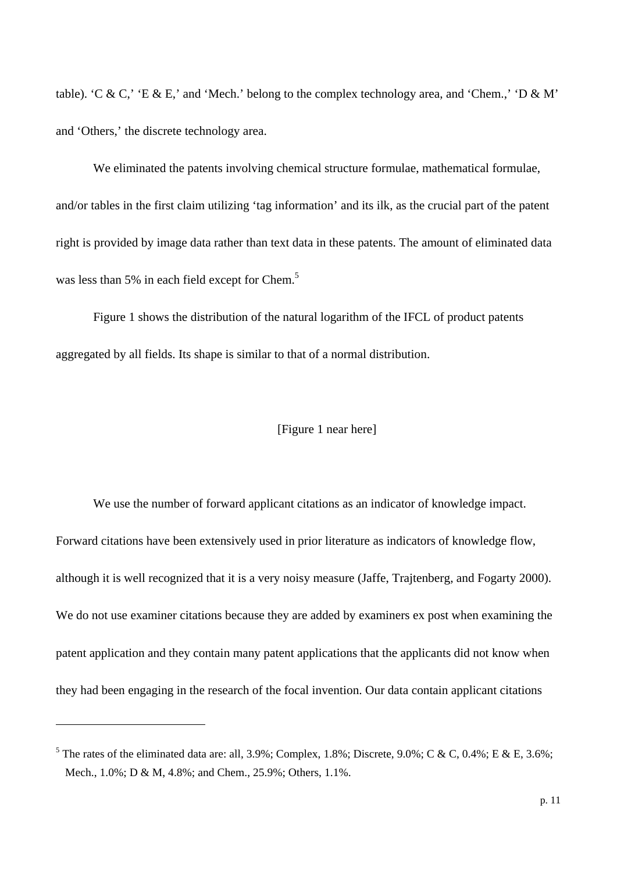table). 'C & C,' 'E & E,' and 'Mech.' belong to the complex technology area, and 'Chem.,' 'D & M' and 'Others,' the discrete technology area.

We eliminated the patents involving chemical structure formulae, mathematical formulae, and/or tables in the first claim utilizing 'tag information' and its ilk, as the crucial part of the patent right is provided by image data rather than text data in these patents. The amount of eliminated data was less than 5% in each field except for Chem.<sup>5</sup>

Figure 1 shows the distribution of the natural logarithm of the IFCL of product patents aggregated by all fields. Its shape is similar to that of a normal distribution.

#### [Figure 1 near here]

We use the number of forward applicant citations as an indicator of knowledge impact. Forward citations have been extensively used in prior literature as indicators of knowledge flow, although it is well recognized that it is a very noisy measure (Jaffe, Trajtenberg, and Fogarty 2000). We do not use examiner citations because they are added by examiners ex post when examining the patent application and they contain many patent applications that the applicants did not know when they had been engaging in the research of the focal invention. Our data contain applicant citations

1

<sup>&</sup>lt;sup>5</sup> The rates of the eliminated data are: all, 3.9%; Complex, 1.8%; Discrete, 9.0%; C & C, 0.4%; E & E, 3.6%; Mech., 1.0%; D & M, 4.8%; and Chem., 25.9%; Others, 1.1%.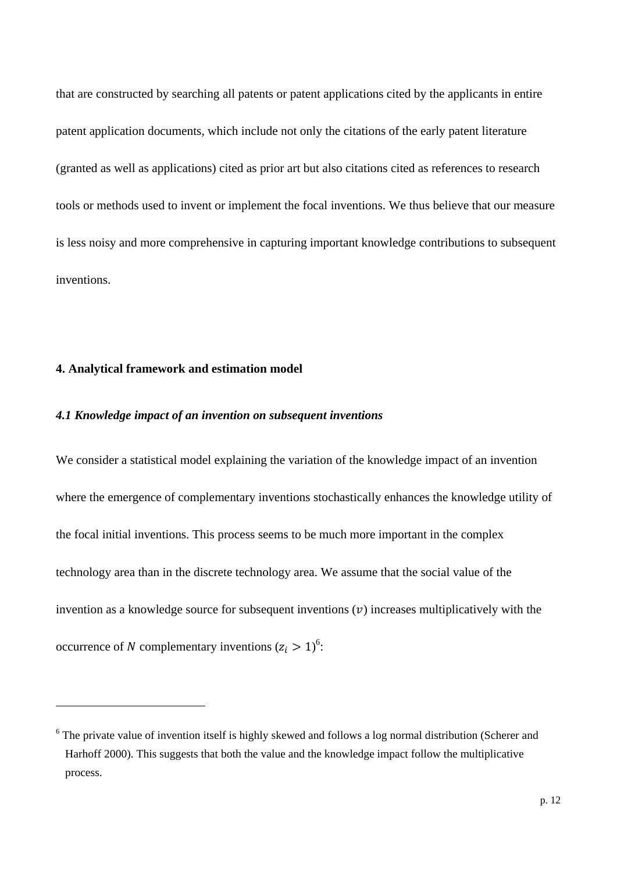that are constructed by searching all patents or patent applications cited by the applicants in entire patent application documents, which include not only the citations of the early patent literature (granted as well as applications) cited as prior art but also citations cited as references to research tools or methods used to invent or implement the focal inventions. We thus believe that our measure is less noisy and more comprehensive in capturing important knowledge contributions to subsequent inventions.

### **4. Analytical framework and estimation model**

1

#### *4.1 Knowledge impact of an invention on subsequent inventions*

We consider a statistical model explaining the variation of the knowledge impact of an invention where the emergence of complementary inventions stochastically enhances the knowledge utility of the focal initial inventions. This process seems to be much more important in the complex technology area than in the discrete technology area. We assume that the social value of the invention as a knowledge source for subsequent inventions  $(v)$  increases multiplicatively with the occurrence of N complementary inventions  $(z_i > 1)^6$ :

<sup>&</sup>lt;sup>6</sup> The private value of invention itself is highly skewed and follows a log normal distribution (Scherer and Harhoff 2000). This suggests that both the value and the knowledge impact follow the multiplicative process.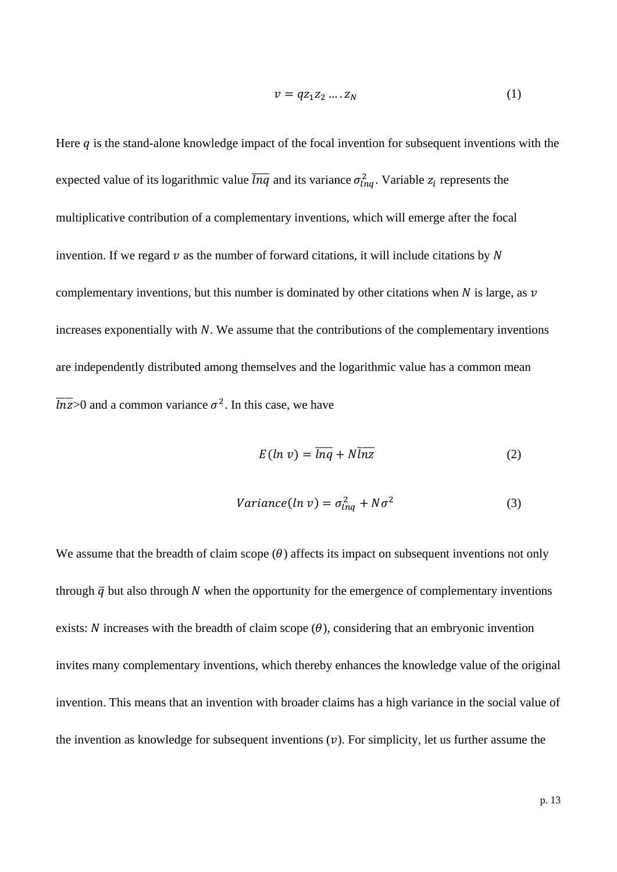$$
v = qz_1z_2\ldots z_N\tag{1}
$$

Here  $q$  is the stand-alone knowledge impact of the focal invention for subsequent inventions with the expected value of its logarithmic value  $\overline{lnq}$  and its variance  $\sigma_{lnq}^2$ . Variable  $z_i$  represents the multiplicative contribution of a complementary inventions, which will emerge after the focal invention. If we regard  $\nu$  as the number of forward citations, it will include citations by N complementary inventions, but this number is dominated by other citations when  $N$  is large, as  $\nu$ increases exponentially with  $N$ . We assume that the contributions of the complementary inventions are independently distributed among themselves and the logarithmic value has a common mean  $\overline{lnz}$  and a common variance  $\sigma^2$ . In this case, we have

$$
E(\ln v) = \overline{\ln q} + N \overline{\ln z} \tag{2}
$$

$$
Variance(ln v) = \sigma_{lnq}^2 + N\sigma^2
$$
 (3)

We assume that the breadth of claim scope  $(\theta)$  affects its impact on subsequent inventions not only through  $\bar{q}$  but also through N when the opportunity for the emergence of complementary inventions exists: N increases with the breadth of claim scope  $(\theta)$ , considering that an embryonic invention invites many complementary inventions, which thereby enhances the knowledge value of the original invention. This means that an invention with broader claims has a high variance in the social value of the invention as knowledge for subsequent inventions  $(v)$ . For simplicity, let us further assume the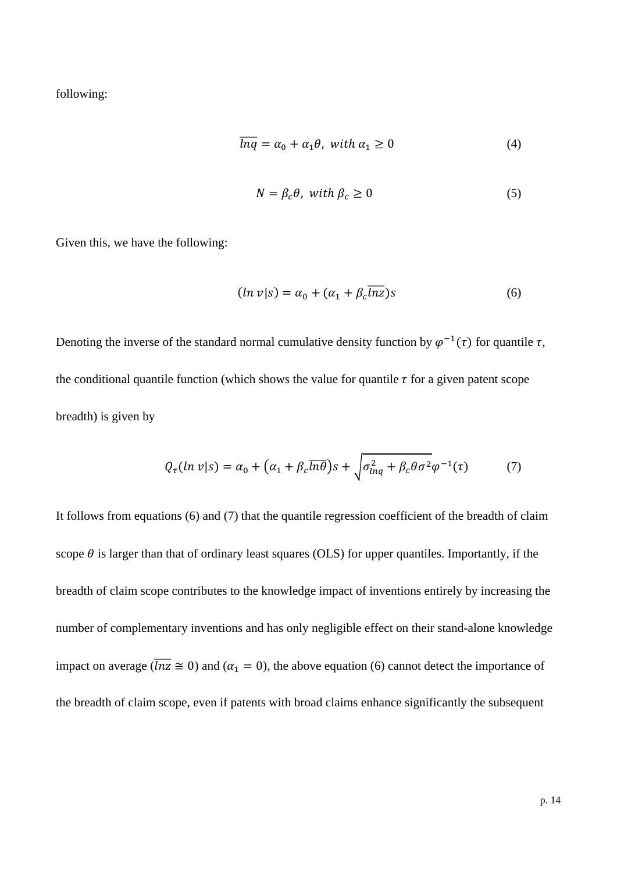following:

$$
\overline{lnq} = \alpha_0 + \alpha_1 \theta, \text{ with } \alpha_1 \ge 0 \tag{4}
$$

$$
N = \beta_c \theta, \text{ with } \beta_c \ge 0 \tag{5}
$$

Given this, we have the following:

$$
(ln v|s) = \alpha_0 + (\alpha_1 + \beta_c \overline{lnz})s
$$
 (6)

Denoting the inverse of the standard normal cumulative density function by  $\varphi^{-1}(\tau)$  for quantile  $\tau$ , the conditional quantile function (which shows the value for quantile  $\tau$  for a given patent scope breadth) is given by

$$
Q_{\tau}(ln \nu | s) = \alpha_0 + (\alpha_1 + \beta_c \overline{ln \theta})s + \sqrt{\sigma_{lnq}^2 + \beta_c \theta \sigma^2} \varphi^{-1}(\tau) \tag{7}
$$

It follows from equations (6) and (7) that the quantile regression coefficient of the breadth of claim scope  $\theta$  is larger than that of ordinary least squares (OLS) for upper quantiles. Importantly, if the breadth of claim scope contributes to the knowledge impact of inventions entirely by increasing the number of complementary inventions and has only negligible effect on their stand-alone knowledge impact on average ( $\overline{lnz} \cong 0$ ) and ( $\alpha_1 = 0$ ), the above equation (6) cannot detect the importance of the breadth of claim scope, even if patents with broad claims enhance significantly the subsequent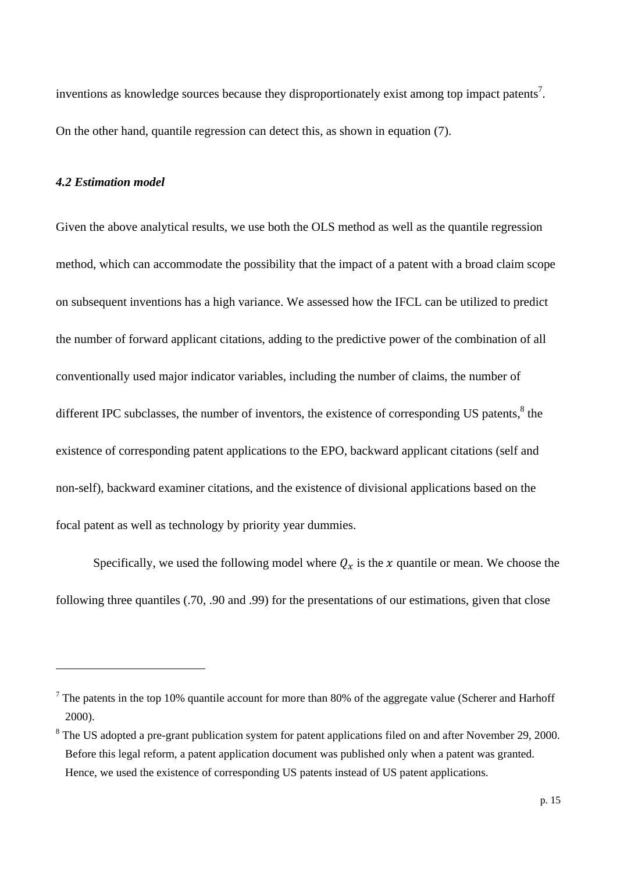inventions as knowledge sources because they disproportionately exist among top impact patents<sup>7</sup>. On the other hand, quantile regression can detect this, as shown in equation (7).

#### *4.2 Estimation model*

1

Given the above analytical results, we use both the OLS method as well as the quantile regression method, which can accommodate the possibility that the impact of a patent with a broad claim scope on subsequent inventions has a high variance. We assessed how the IFCL can be utilized to predict the number of forward applicant citations, adding to the predictive power of the combination of all conventionally used major indicator variables, including the number of claims, the number of different IPC subclasses, the number of inventors, the existence of corresponding US patents, $8$  the existence of corresponding patent applications to the EPO, backward applicant citations (self and non-self), backward examiner citations, and the existence of divisional applications based on the focal patent as well as technology by priority year dummies.

Specifically, we used the following model where  $Q_x$  is the x quantile or mean. We choose the following three quantiles (.70, .90 and .99) for the presentations of our estimations, given that close

 $7$  The patents in the top 10% quantile account for more than 80% of the aggregate value (Scherer and Harhoff 2000).

<sup>&</sup>lt;sup>8</sup> The US adopted a pre-grant publication system for patent applications filed on and after November 29, 2000. Before this legal reform, a patent application document was published only when a patent was granted. Hence, we used the existence of corresponding US patents instead of US patent applications.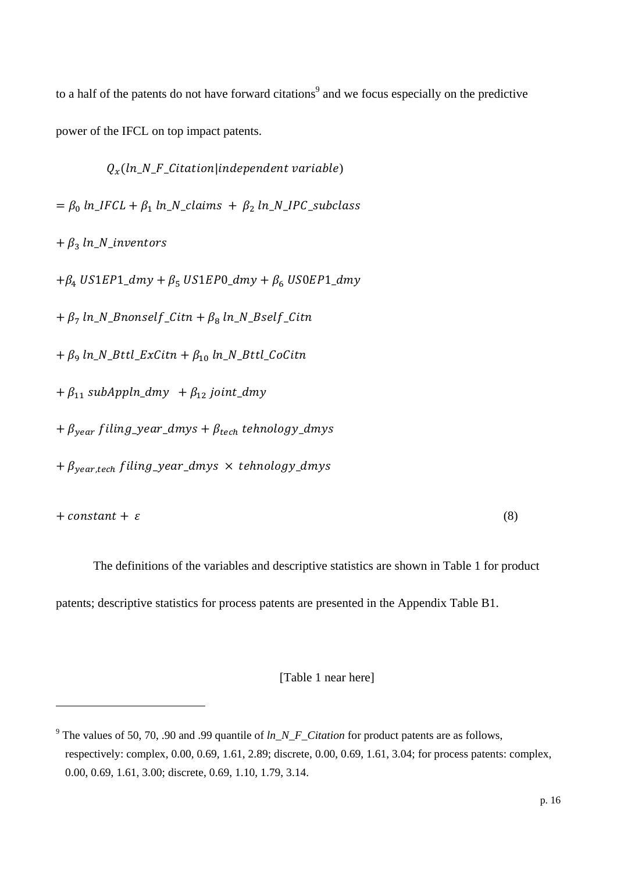to a half of the patents do not have forward citations<sup>9</sup> and we focus especially on the predictive power of the IFCL on top impact patents.

 $Q_x(ln_N_F_Citation|independent variable)$  $=\beta_0 \ln_I FCL + \beta_1 \ln_N_{\text{clains}} + \beta_2 \ln_N_{\text{I}} PCL_{\text{subclass}}$  $+ \beta_3 \ln N$ <sup>\_</sup>inventors  $+\beta_4$  US1EP1\_dmy +  $\beta_5$  US1EP0\_dmy +  $\beta_6$  US0EP1\_dmy  $+\beta_7 \ln N_B$ nonself\_Citn +  $\beta_8 \ln N_B$ self\_Citn  $+ \beta_9 \ln N_B$ ttl\_ExCitn  $+ \beta_{10} \ln N_B$ ttl\_CoCitn  $+\beta_{11}$  subAppln\_dmy  $+\beta_{12}$  joint\_dmy  $+\beta_{\text{year}}$  filing\_year\_dmys +  $\beta_{\text{tech}}$  tehnology\_dmys  $+\beta_{\text{year,tech}}$  filing\_year\_dmys  $\times$  tehnology\_dmys

 $+ constant + \varepsilon$  (8)

1

The definitions of the variables and descriptive statistics are shown in Table 1 for product patents; descriptive statistics for process patents are presented in the Appendix Table B1.

[Table 1 near here]

<sup>&</sup>lt;sup>9</sup> The values of 50, 70, .90 and .99 quantile of  $ln\_N\_F\_Citation$  for product patents are as follows, respectively: complex, 0.00, 0.69, 1.61, 2.89; discrete, 0.00, 0.69, 1.61, 3.04; for process patents: complex, 0.00, 0.69, 1.61, 3.00; discrete, 0.69, 1.10, 1.79, 3.14.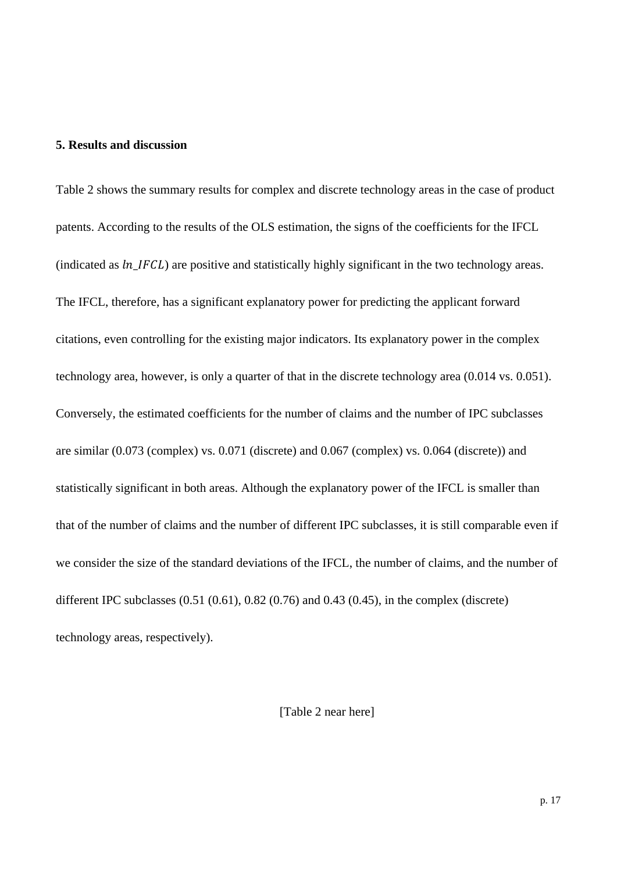### **5. Results and discussion**

Table 2 shows the summary results for complex and discrete technology areas in the case of product patents. According to the results of the OLS estimation, the signs of the coefficients for the IFCL (indicated as  $ln_I FCL$ ) are positive and statistically highly significant in the two technology areas. The IFCL, therefore, has a significant explanatory power for predicting the applicant forward citations, even controlling for the existing major indicators. Its explanatory power in the complex technology area, however, is only a quarter of that in the discrete technology area (0.014 vs. 0.051). Conversely, the estimated coefficients for the number of claims and the number of IPC subclasses are similar (0.073 (complex) vs. 0.071 (discrete) and 0.067 (complex) vs. 0.064 (discrete)) and statistically significant in both areas. Although the explanatory power of the IFCL is smaller than that of the number of claims and the number of different IPC subclasses, it is still comparable even if we consider the size of the standard deviations of the IFCL, the number of claims, and the number of different IPC subclasses (0.51 (0.61), 0.82 (0.76) and 0.43 (0.45), in the complex (discrete) technology areas, respectively).

[Table 2 near here]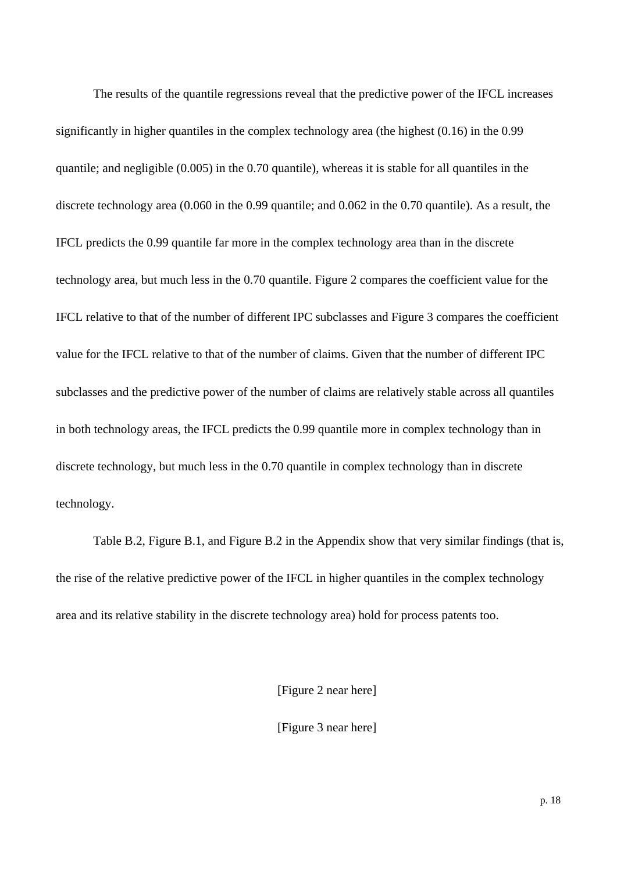The results of the quantile regressions reveal that the predictive power of the IFCL increases significantly in higher quantiles in the complex technology area (the highest (0.16) in the 0.99 quantile; and negligible (0.005) in the 0.70 quantile), whereas it is stable for all quantiles in the discrete technology area (0.060 in the 0.99 quantile; and 0.062 in the 0.70 quantile). As a result, the IFCL predicts the 0.99 quantile far more in the complex technology area than in the discrete technology area, but much less in the 0.70 quantile. Figure 2 compares the coefficient value for the IFCL relative to that of the number of different IPC subclasses and Figure 3 compares the coefficient value for the IFCL relative to that of the number of claims. Given that the number of different IPC subclasses and the predictive power of the number of claims are relatively stable across all quantiles in both technology areas, the IFCL predicts the 0.99 quantile more in complex technology than in discrete technology, but much less in the 0.70 quantile in complex technology than in discrete technology.

Table B.2, Figure B.1, and Figure B.2 in the Appendix show that very similar findings (that is, the rise of the relative predictive power of the IFCL in higher quantiles in the complex technology area and its relative stability in the discrete technology area) hold for process patents too.

[Figure 2 near here]

[Figure 3 near here]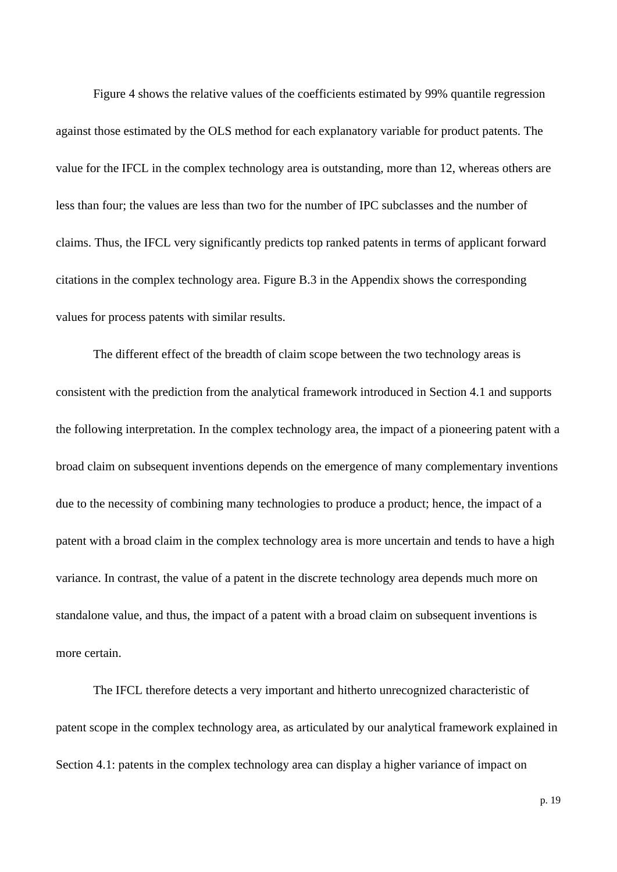Figure 4 shows the relative values of the coefficients estimated by 99% quantile regression against those estimated by the OLS method for each explanatory variable for product patents. The value for the IFCL in the complex technology area is outstanding, more than 12, whereas others are less than four; the values are less than two for the number of IPC subclasses and the number of claims. Thus, the IFCL very significantly predicts top ranked patents in terms of applicant forward citations in the complex technology area. Figure B.3 in the Appendix shows the corresponding values for process patents with similar results.

The different effect of the breadth of claim scope between the two technology areas is consistent with the prediction from the analytical framework introduced in Section 4.1 and supports the following interpretation. In the complex technology area, the impact of a pioneering patent with a broad claim on subsequent inventions depends on the emergence of many complementary inventions due to the necessity of combining many technologies to produce a product; hence, the impact of a patent with a broad claim in the complex technology area is more uncertain and tends to have a high variance. In contrast, the value of a patent in the discrete technology area depends much more on standalone value, and thus, the impact of a patent with a broad claim on subsequent inventions is more certain.

The IFCL therefore detects a very important and hitherto unrecognized characteristic of patent scope in the complex technology area, as articulated by our analytical framework explained in Section 4.1: patents in the complex technology area can display a higher variance of impact on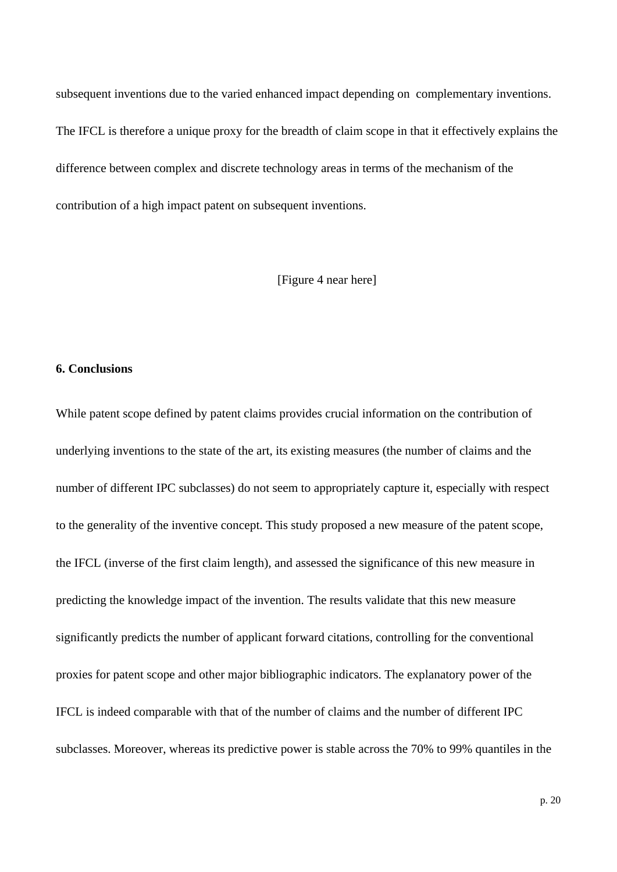subsequent inventions due to the varied enhanced impact depending on complementary inventions. The IFCL is therefore a unique proxy for the breadth of claim scope in that it effectively explains the difference between complex and discrete technology areas in terms of the mechanism of the contribution of a high impact patent on subsequent inventions.

[Figure 4 near here]

#### **6. Conclusions**

While patent scope defined by patent claims provides crucial information on the contribution of underlying inventions to the state of the art, its existing measures (the number of claims and the number of different IPC subclasses) do not seem to appropriately capture it, especially with respect to the generality of the inventive concept. This study proposed a new measure of the patent scope, the IFCL (inverse of the first claim length), and assessed the significance of this new measure in predicting the knowledge impact of the invention. The results validate that this new measure significantly predicts the number of applicant forward citations, controlling for the conventional proxies for patent scope and other major bibliographic indicators. The explanatory power of the IFCL is indeed comparable with that of the number of claims and the number of different IPC subclasses. Moreover, whereas its predictive power is stable across the 70% to 99% quantiles in the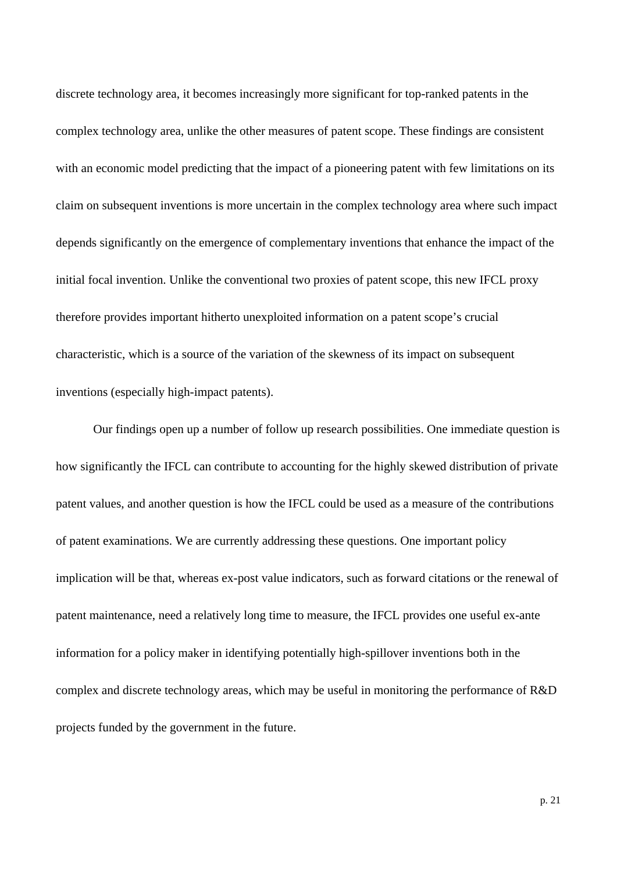discrete technology area, it becomes increasingly more significant for top-ranked patents in the complex technology area, unlike the other measures of patent scope. These findings are consistent with an economic model predicting that the impact of a pioneering patent with few limitations on its claim on subsequent inventions is more uncertain in the complex technology area where such impact depends significantly on the emergence of complementary inventions that enhance the impact of the initial focal invention. Unlike the conventional two proxies of patent scope, this new IFCL proxy therefore provides important hitherto unexploited information on a patent scope's crucial characteristic, which is a source of the variation of the skewness of its impact on subsequent inventions (especially high-impact patents).

Our findings open up a number of follow up research possibilities. One immediate question is how significantly the IFCL can contribute to accounting for the highly skewed distribution of private patent values, and another question is how the IFCL could be used as a measure of the contributions of patent examinations. We are currently addressing these questions. One important policy implication will be that, whereas ex-post value indicators, such as forward citations or the renewal of patent maintenance, need a relatively long time to measure, the IFCL provides one useful ex-ante information for a policy maker in identifying potentially high-spillover inventions both in the complex and discrete technology areas, which may be useful in monitoring the performance of R&D projects funded by the government in the future.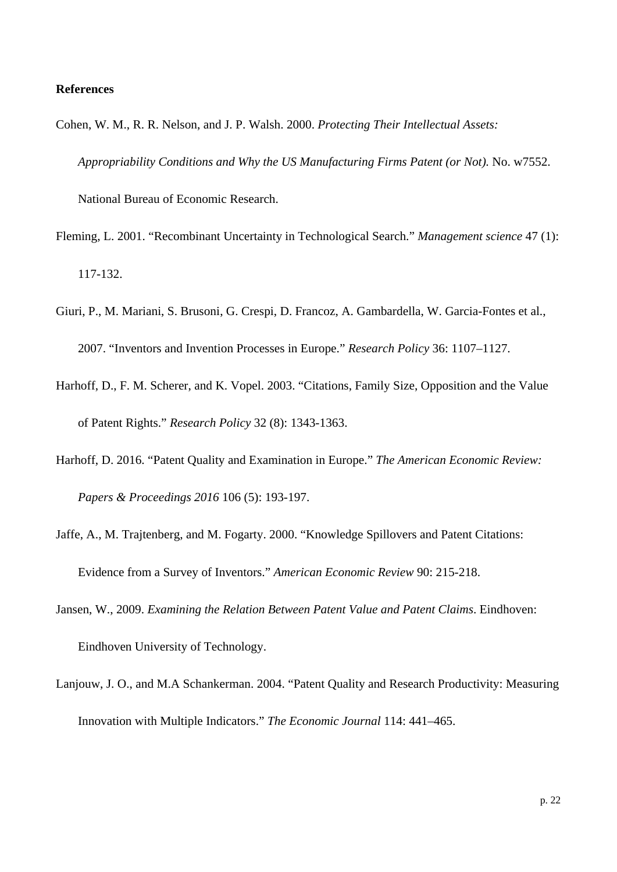#### **References**

- Cohen, W. M., R. R. Nelson, and J. P. Walsh. 2000. *Protecting Their Intellectual Assets: Appropriability Conditions and Why the US Manufacturing Firms Patent (or Not).* No. w7552. National Bureau of Economic Research.
- Fleming, L. 2001. "Recombinant Uncertainty in Technological Search." *Management science* 47 (1): 117-132.
- Giuri, P., M. Mariani, S. Brusoni, G. Crespi, D. Francoz, A. Gambardella, W. Garcia-Fontes et al., 2007. "Inventors and Invention Processes in Europe." *Research Policy* 36: 1107–1127.
- Harhoff, D., F. M. Scherer, and K. Vopel. 2003. "Citations, Family Size, Opposition and the Value of Patent Rights." *Research Policy* 32 (8): 1343-1363.
- Harhoff, D. 2016. "Patent Quality and Examination in Europe." *The American Economic Review: Papers & Proceedings 2016* 106 (5): 193-197.
- Jaffe, A., M. Trajtenberg, and M. Fogarty. 2000. "Knowledge Spillovers and Patent Citations: Evidence from a Survey of Inventors." *American Economic Review* 90: 215-218.
- Jansen, W., 2009. *Examining the Relation Between Patent Value and Patent Claims*. Eindhoven: Eindhoven University of Technology.
- Lanjouw, J. O., and M.A Schankerman. 2004. "Patent Quality and Research Productivity: Measuring Innovation with Multiple Indicators." *The Economic Journal* 114: 441–465.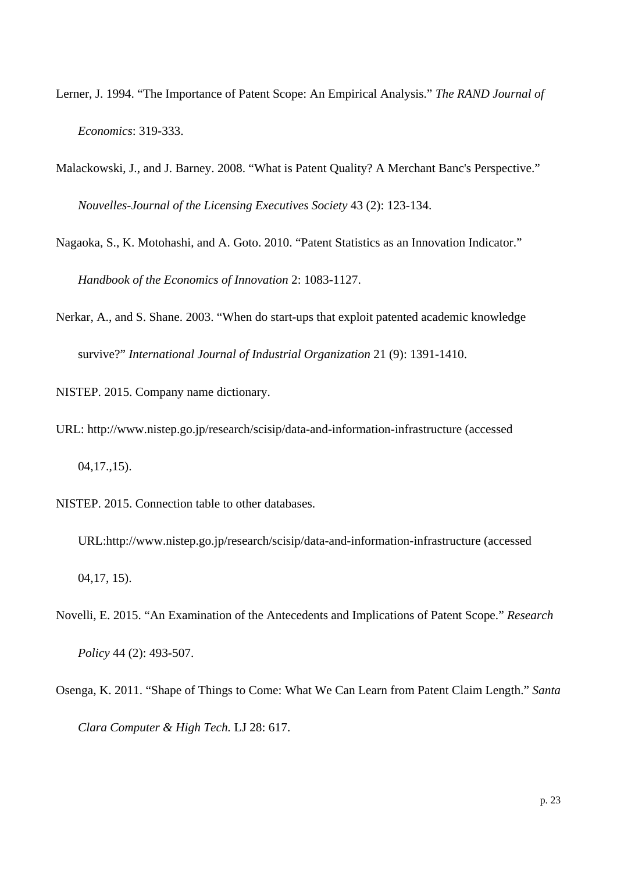- Lerner, J. 1994. "The Importance of Patent Scope: An Empirical Analysis." *The RAND Journal of Economics*: 319-333.
- Malackowski, J., and J. Barney. 2008. "What is Patent Quality? A Merchant Banc's Perspective." *Nouvelles-Journal of the Licensing Executives Society* 43 (2): 123-134.
- Nagaoka, S., K. Motohashi, and A. Goto. 2010. "Patent Statistics as an Innovation Indicator." *Handbook of the Economics of Innovation* 2: 1083-1127.
- Nerkar, A., and S. Shane. 2003. "When do start-ups that exploit patented academic knowledge survive?" *International Journal of Industrial Organization* 21 (9): 1391-1410.

NISTEP. 2015. Company name dictionary.

- URL: http://www.nistep.go.jp/research/scisip/data-and-information-infrastructure (accessed 04,17.,15).
- NISTEP. 2015. Connection table to other databases.
	- URL:http://www.nistep.go.jp/research/scisip/data-and-information-infrastructure (accessed 04,17, 15).
- Novelli, E. 2015. "An Examination of the Antecedents and Implications of Patent Scope." *Research Policy* 44 (2): 493-507.
- Osenga, K. 2011. "Shape of Things to Come: What We Can Learn from Patent Claim Length." *Santa Clara Computer & High Tech.* LJ 28: 617.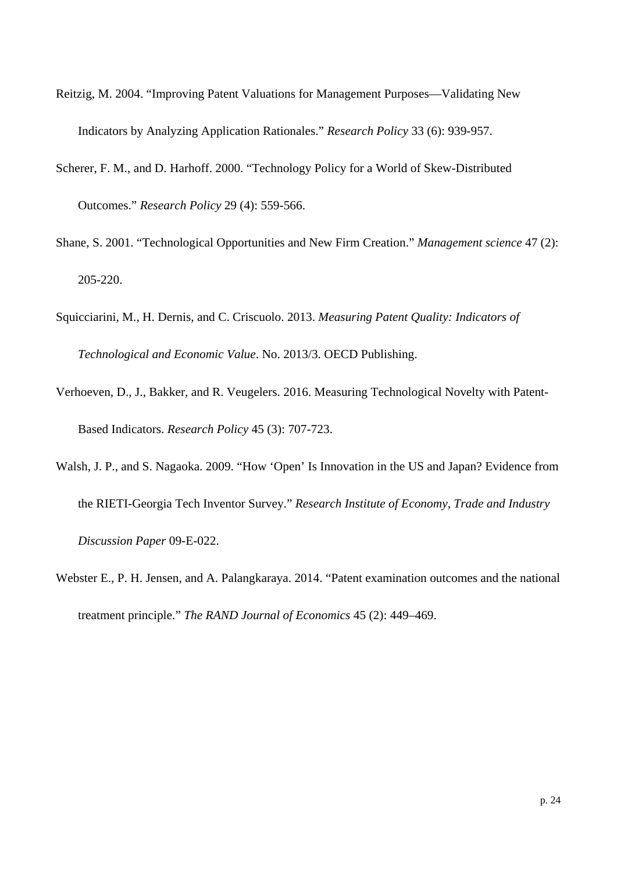- Reitzig, M. 2004. "Improving Patent Valuations for Management Purposes—Validating New Indicators by Analyzing Application Rationales." *Research Policy* 33 (6): 939-957.
- Scherer, F. M., and D. Harhoff. 2000. "Technology Policy for a World of Skew-Distributed Outcomes." *Research Policy* 29 (4): 559-566.
- Shane, S. 2001. "Technological Opportunities and New Firm Creation." *Management science* 47 (2): 205-220.
- Squicciarini, M., H. Dernis, and C. Criscuolo. 2013. *Measuring Patent Quality: Indicators of Technological and Economic Value*. No. 2013/3. OECD Publishing.
- Verhoeven, D., J., Bakker, and R. Veugelers. 2016. Measuring Technological Novelty with Patent-Based Indicators. *Research Policy* 45 (3): 707-723.
- Walsh, J. P., and S. Nagaoka. 2009. "How 'Open' Is Innovation in the US and Japan? Evidence from the RIETI-Georgia Tech Inventor Survey." *Research Institute of Economy, Trade and Industry Discussion Paper* 09-E-022.
- Webster E., P. H. Jensen, and A. Palangkaraya. 2014. "Patent examination outcomes and the national treatment principle." *The RAND Journal of Economics* 45 (2): 449–469.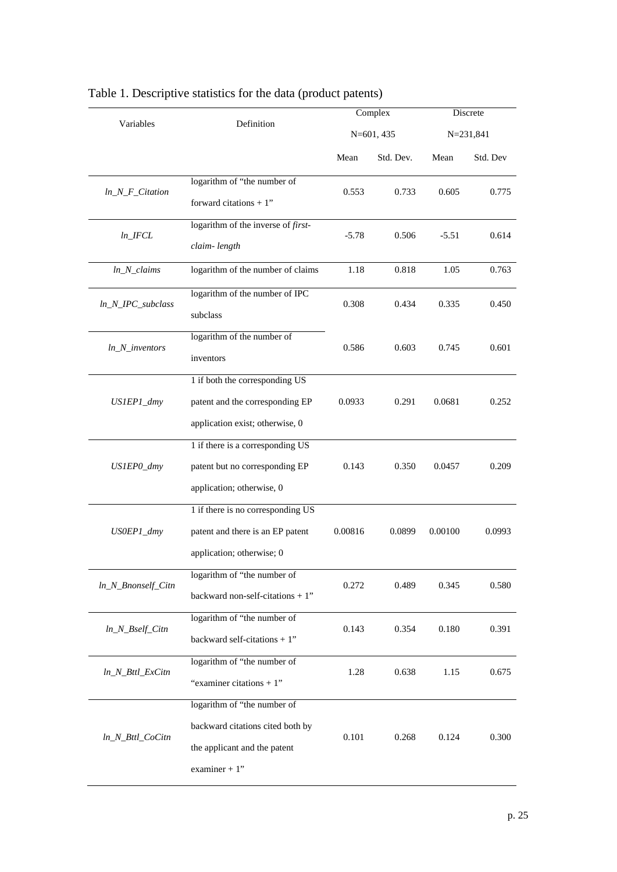|                                          |                                                                                                                    |            | Complex   | Discrete |           |  |
|------------------------------------------|--------------------------------------------------------------------------------------------------------------------|------------|-----------|----------|-----------|--|
| Variables                                | Definition                                                                                                         | N=601, 435 |           |          | N=231,841 |  |
|                                          |                                                                                                                    | Mean       | Std. Dev. | Mean     | Std. Dev  |  |
| $ln_N_F_C$ Citation                      | logarithm of "the number of<br>forward citations $+1$ "                                                            | 0.553      | 0.733     | 0.605    | 0.775     |  |
| $ln\_IFCL$                               | logarithm of the inverse of first-<br>claim-length                                                                 | $-5.78$    | 0.506     | $-5.51$  | 0.614     |  |
| $ln_N_{clains}$                          | logarithm of the number of claims                                                                                  | 1.18       | 0.818     | 1.05     | 0.763     |  |
| $ln_N_PC$ _subclass                      | logarithm of the number of IPC<br>subclass                                                                         | 0.308      | 0.434     | 0.335    | 0.450     |  |
| $ln_N$ _inventors                        | logarithm of the number of<br>inventors                                                                            | 0.586      | 0.603     | 0.745    | 0.601     |  |
| US1EP1_dmy                               | 1 if both the corresponding US<br>patent and the corresponding EP<br>application exist; otherwise, 0               | 0.0933     | 0.291     | 0.0681   | 0.252     |  |
| US1EP0_dmy                               | 1 if there is a corresponding US<br>patent but no corresponding EP<br>application; otherwise, 0                    | 0.143      | 0.350     | 0.0457   | 0.209     |  |
| US0EP1_dmy                               | 1 if there is no corresponding US<br>patent and there is an EP patent<br>application; otherwise; 0                 | 0.00816    | 0.0899    | 0.00100  | 0.0993    |  |
| ln_N_Bnonself_Citn                       | logarithm of "the number of<br>backward non-self-citations $+1$ "                                                  | 0.272      | 0.489     | 0.345    | 0.580     |  |
| $ln_N_Bself_C$ itn                       | logarithm of "the number of<br>backward self-citations $+1$ "                                                      | 0.143      | 0.354     | 0.180    | 0.391     |  |
| ln_N_Bttl_ExCitn                         | logarithm of "the number of<br>"examiner citations + $1$ "                                                         | 1.28       | 0.638     | 1.15     | 0.675     |  |
| $ln_N_B_{\text{H}}$ <i>M_Bttl_CoCitn</i> | logarithm of "the number of<br>backward citations cited both by<br>the applicant and the patent<br>examiner $+1$ " | 0.101      | 0.268     | 0.124    | 0.300     |  |

# Table 1. Descriptive statistics for the data (product patents)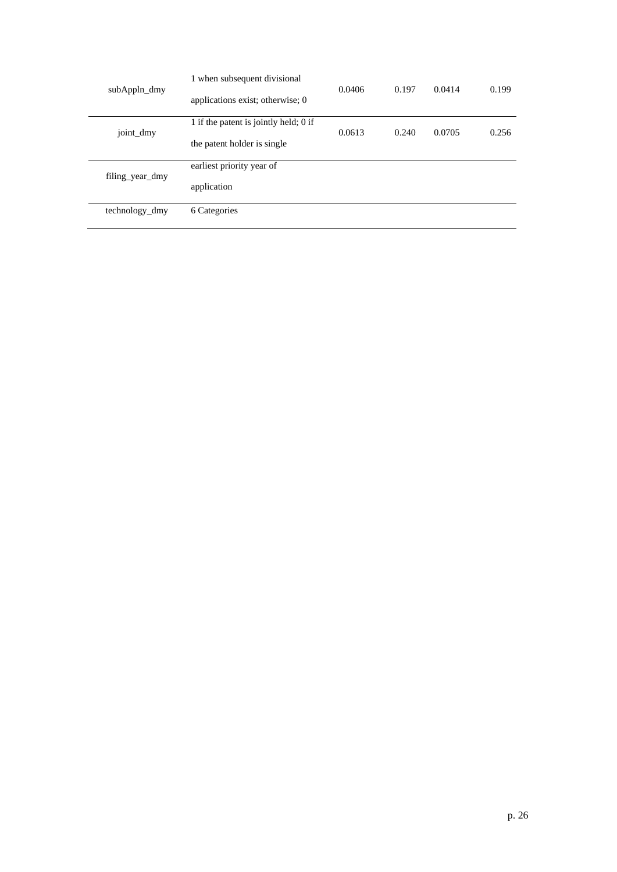| subAppln_dmy    | 1 when subsequent divisional<br>applications exist; otherwise; 0 | 0.0406 | 0.197 | 0.0414 | 0.199 |
|-----------------|------------------------------------------------------------------|--------|-------|--------|-------|
| joint_dmy       | 1 if the patent is jointly held; 0 if                            | 0.0613 | 0.240 | 0.0705 | 0.256 |
| filing year dmy | the patent holder is single                                      |        |       |        |       |
|                 | earliest priority year of                                        |        |       |        |       |
|                 | application                                                      |        |       |        |       |
| technology_dmy  | 6 Categories                                                     |        |       |        |       |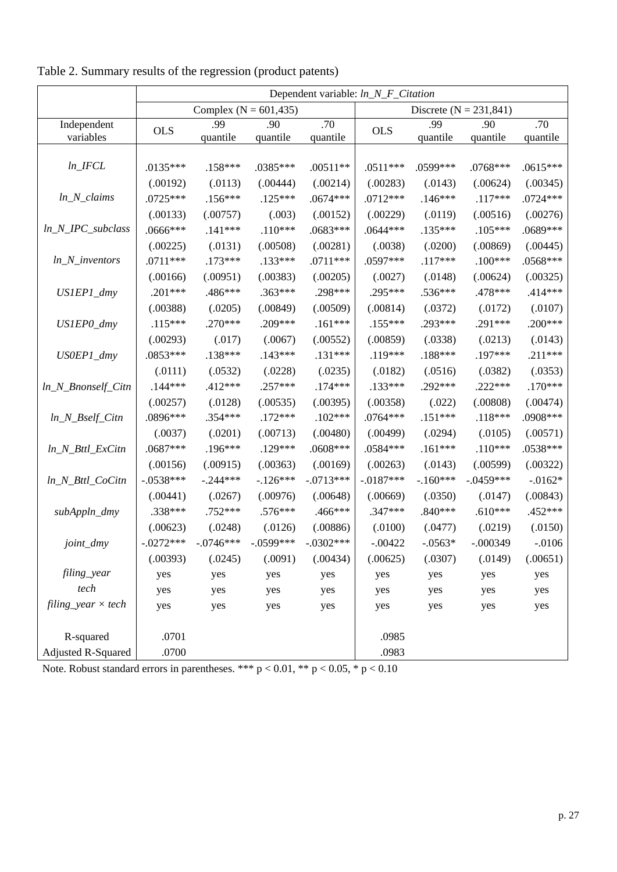|                             | Dependent variable: ln_N_F_Citation |             |             |             |                            |            |             |            |
|-----------------------------|-------------------------------------|-------------|-------------|-------------|----------------------------|------------|-------------|------------|
|                             | Complex ( $N = 601,435$ )           |             |             |             | Discrete ( $N = 231,841$ ) |            |             |            |
| Independent                 | <b>OLS</b>                          | .99         | .90         | .70         | <b>OLS</b>                 | .99        | .90         | .70        |
| variables                   |                                     | quantile    | quantile    | quantile    |                            | quantile   | quantile    | quantile   |
|                             |                                     |             |             |             |                            |            |             |            |
| $ln\_IFCL$                  | $.0135***$                          | $.158***$   | .0385***    | $.00511**$  | $.0511***$                 | .0599***   | .0768***    | $.0615***$ |
|                             | (.00192)                            | (.0113)     | (.00444)    | (.00214)    | (.00283)                   | (.0143)    | (.00624)    | (.00345)   |
| $ln_N_{clains}$             | $.0725***$                          | $.156***$   | $.125***$   | $.0674***$  | $.0712***$                 | $.146***$  | $.117***$   | $.0724***$ |
|                             | (.00133)                            | (.00757)    | (.003)      | (.00152)    | (.00229)                   | (.0119)    | (.00516)    | (.00276)   |
| $ln_N_PC$ _subclass         | .0666***                            | $.141***$   | $.110***$   | .0683***    | .0644 ***                  | $.135***$  | $.105***$   | .0689***   |
|                             | (.00225)                            | (.0131)     | (.00508)    | (.00281)    | (.0038)                    | (.0200)    | (.00869)    | (.00445)   |
| $ln_N$ _inventors           | $.0711***$                          | $.173***$   | .133***     | $.0711***$  | .0597***                   | $.117***$  | $.100***$   | .0568***   |
|                             | (.00166)                            | (.00951)    | (.00383)    | (.00205)    | (.0027)                    | (.0148)    | (.00624)    | (.00325)   |
| US1EP1_dmy                  | $.201***$                           | .486***     | .363***     | .298***     | .295***                    | .536***    | .478***     | .414 ***   |
|                             | (.00388)                            | (.0205)     | (.00849)    | (.00509)    | (.00814)                   | (.0372)    | (.0172)     | (.0107)    |
| US1EP0_dmy                  | $.115***$                           | .270***     | .209***     | $.161***$   | $.155***$                  | .293***    | .291***     | $.200***$  |
|                             | (.00293)                            | (.017)      | (.0067)     | (.00552)    | (.00859)                   | (.0338)    | (.0213)     | (.0143)    |
| US0EP1_dmy                  | $.0853***$                          | .138***     | $.143***$   | $.131***$   | $.119***$                  | .188***    | .197***     | $.211***$  |
|                             | (.0111)                             | (.0532)     | (.0228)     | (.0235)     | (.0182)                    | (.0516)    | (.0382)     | (.0353)    |
| ln_N_Bnonself_Citn          | $.144***$                           | .412 ***    | .257***     | $.174***$   | .133***                    | .292***    | $.222***$   | $.170***$  |
|                             | (.00257)                            | (.0128)     | (.00535)    | (.00395)    | (.00358)                   | (.022)     | (.00808)    | (.00474)   |
| $ln_N_Bself_C$ itn          | .0896***                            | .354 ***    | $.172***$   | $.102***$   | $.0764***$                 | $.151***$  | $.118***$   | .0908***   |
|                             | (.0037)                             | (.0201)     | (.00713)    | (.00480)    | (.00499)                   | (.0294)    | (.0105)     | (.00571)   |
| ln_N_Bttl_ExCitn            | $.0687***$                          | .196***     | .129***     | $.0608***$  | .0584***                   | $.161***$  | $.110***$   | .0538***   |
|                             | (.00156)                            | (.00915)    | (.00363)    | (.00169)    | (.00263)                   | (.0143)    | (.00599)    | (.00322)   |
| ln_N_Bttl_CoCitn            | $-.0538***$                         | $-.244***$  | $-.126***$  | $-.0713***$ | $-0.187***$                | $-.160***$ | $-.0459***$ | $-0.0162*$ |
|                             | (.00441)                            | (.0267)     | (.00976)    | (.00648)    | (.00669)                   | (.0350)    | (.0147)     | (.00843)   |
| subAppln_dmy                | .338***                             | .752 ***    | .576***     | .466***     | .347***                    | $.840***$  | $.610***$   | .452 ***   |
|                             | (.00623)                            | (.0248)     | (.0126)     | (.00886)    | (.0100)                    | (.0477)    | (.0219)     | (.0150)    |
| joint_dmy                   | $-.0272***$                         | $-.0746***$ | $-.0599***$ | $-.0302***$ | $-.00422$                  | $-.0563*$  | $-.000349$  | $-.0106$   |
|                             | (.00393)                            | (.0245)     | (.0091)     | (.00434)    | (.00625)                   | (.0307)    | (.0149)     | (.00651)   |
| filing_year                 | yes                                 | yes         | yes         | yes         | yes                        | yes        | yes         | yes        |
| tech                        | yes                                 | yes         | yes         | yes         | yes                        | yes        | yes         | yes        |
| $filling\_year \times tech$ | yes                                 | yes         | yes         | yes         | yes                        | yes        | yes         | yes        |
|                             |                                     |             |             |             |                            |            |             |            |
| R-squared                   | .0701                               |             |             |             | .0985                      |            |             |            |
| Adjusted R-Squared          | .0700                               |             |             |             | .0983                      |            |             |            |

Table 2. Summary results of the regression (product patents)

Note. Robust standard errors in parentheses. \*\*\*  $p < 0.01$ , \*\*  $p < 0.05$ , \*  $p < 0.10$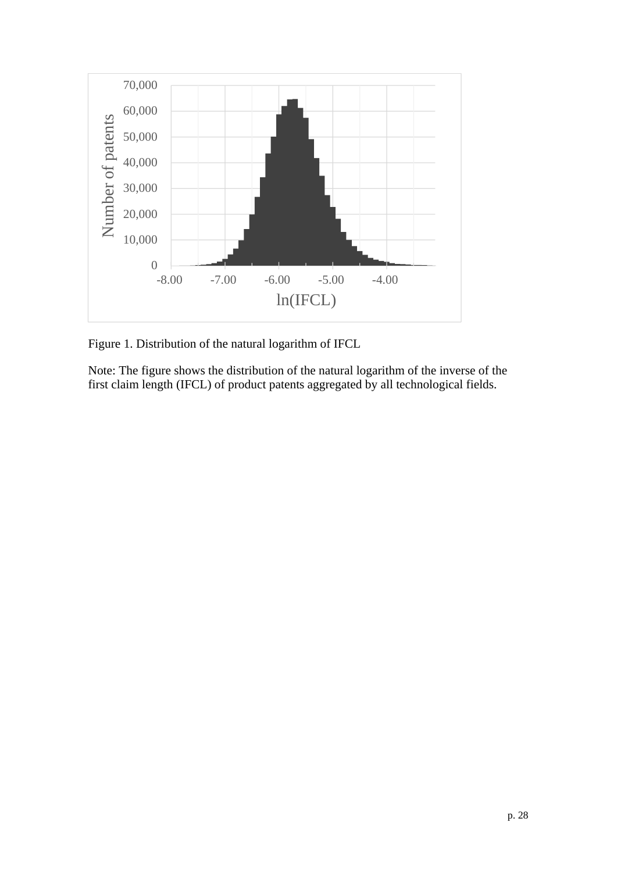

Figure 1. Distribution of the natural logarithm of IFCL

Note: The figure shows the distribution of the natural logarithm of the inverse of the first claim length (IFCL) of product patents aggregated by all technological fields.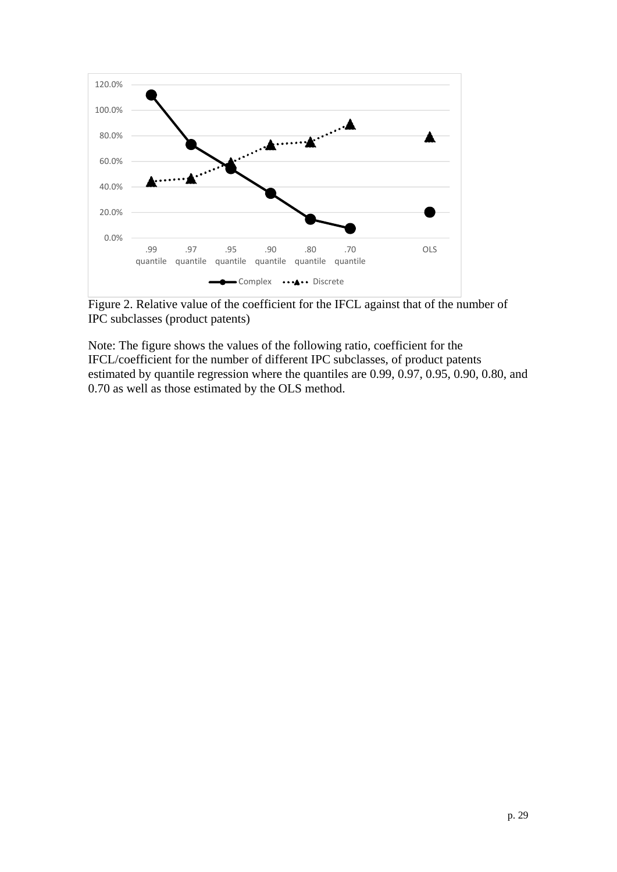

Figure 2. Relative value of the coefficient for the IFCL against that of the number of IPC subclasses (product patents)

Note: The figure shows the values of the following ratio, coefficient for the IFCL/coefficient for the number of different IPC subclasses, of product patents estimated by quantile regression where the quantiles are 0.99, 0.97, 0.95, 0.90, 0.80, and 0.70 as well as those estimated by the OLS method.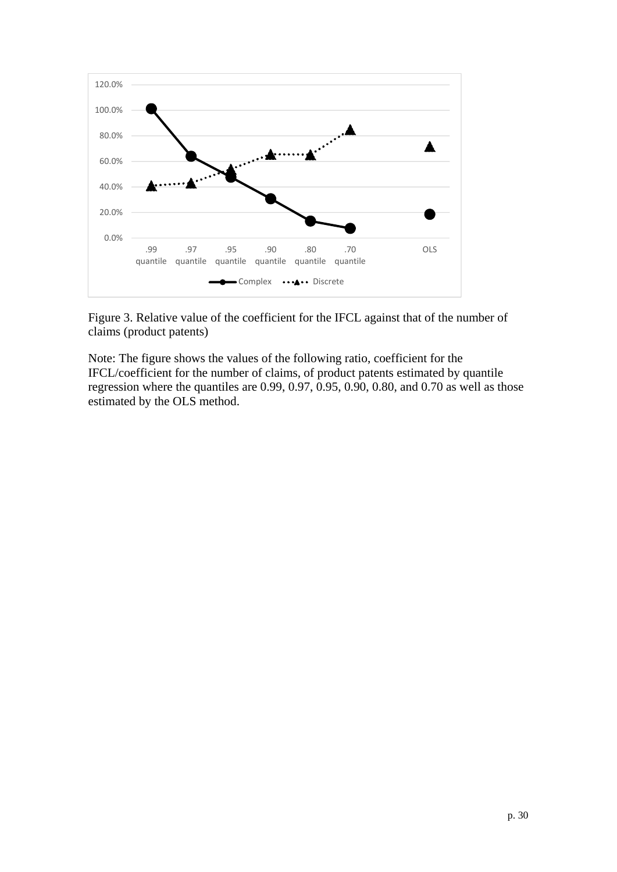

Figure 3. Relative value of the coefficient for the IFCL against that of the number of claims (product patents)

Note: The figure shows the values of the following ratio, coefficient for the IFCL/coefficient for the number of claims, of product patents estimated by quantile regression where the quantiles are 0.99, 0.97, 0.95, 0.90, 0.80, and 0.70 as well as those estimated by the OLS method.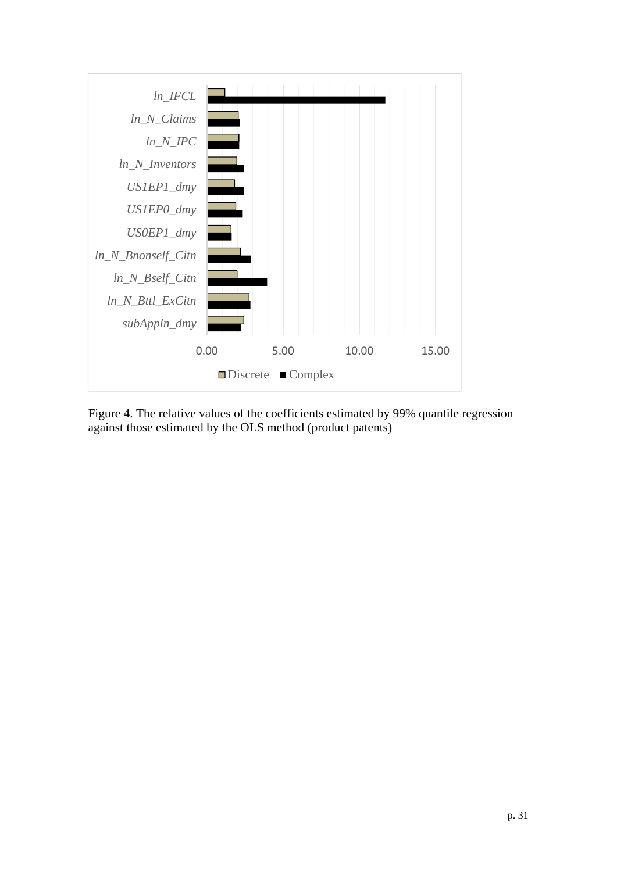

Figure 4. The relative values of the coefficients estimated by 99% quantile regression against those estimated by the OLS method (product patents)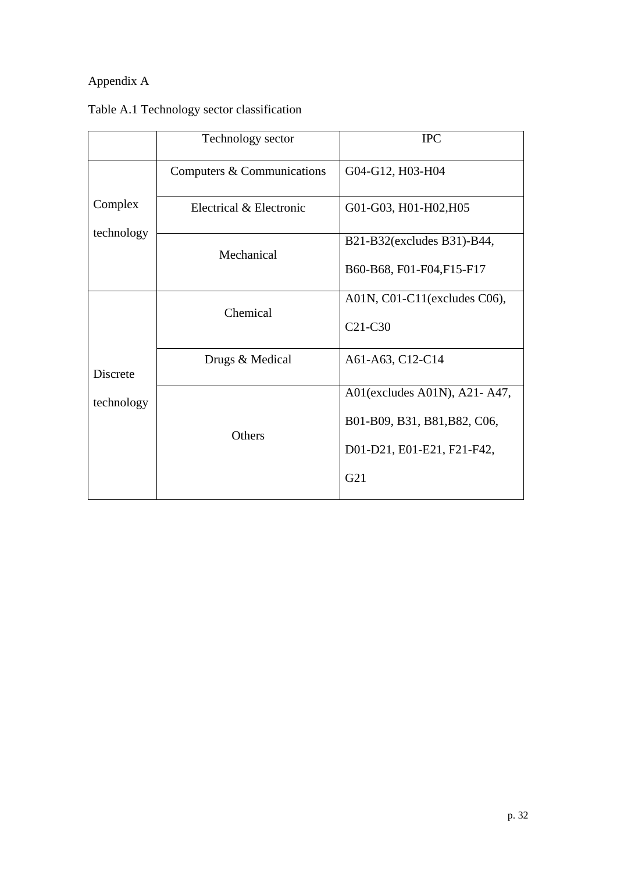# Appendix A

|                 | Technology sector          | <b>IPC</b>                       |
|-----------------|----------------------------|----------------------------------|
|                 | Computers & Communications | G04-G12, H03-H04                 |
| Complex         | Electrical & Electronic    | G01-G03, H01-H02, H05            |
| technology      | Mechanical                 | B21-B32(excludes B31)-B44,       |
|                 |                            | B60-B68, F01-F04, F15-F17        |
|                 | Chemical                   | A01N, C01-C11(excludes C06),     |
|                 |                            | C <sub>21</sub> -C <sub>30</sub> |
| <b>Discrete</b> | Drugs & Medical            | A61-A63, C12-C14                 |
| technology      |                            | A01(excludes A01N), A21- A47,    |
|                 | Others                     | B01-B09, B31, B81, B82, C06,     |
|                 |                            | D01-D21, E01-E21, F21-F42,       |
|                 |                            | G21                              |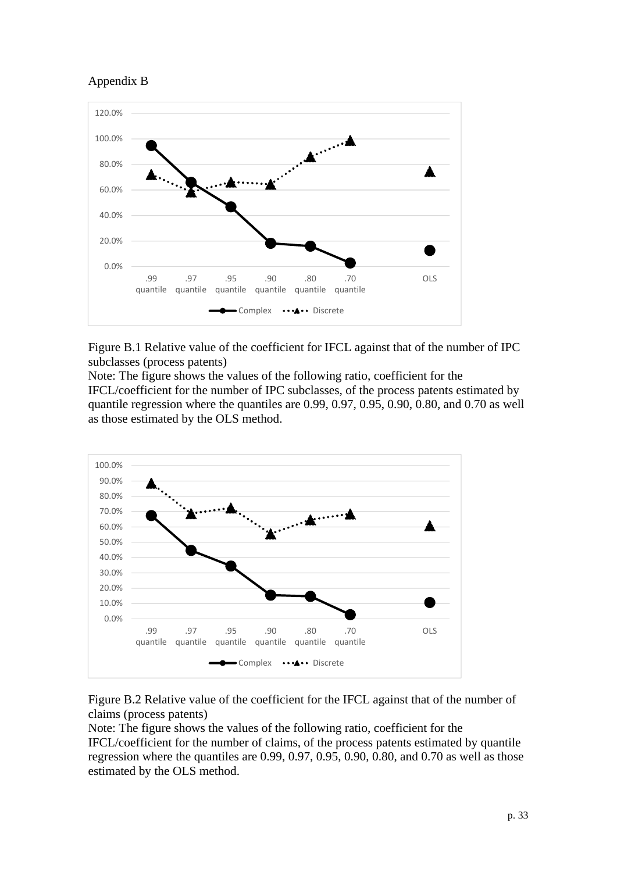



Figure B.1 Relative value of the coefficient for IFCL against that of the number of IPC subclasses (process patents)

Note: The figure shows the values of the following ratio, coefficient for the IFCL/coefficient for the number of IPC subclasses, of the process patents estimated by quantile regression where the quantiles are 0.99, 0.97, 0.95, 0.90, 0.80, and 0.70 as well as those estimated by the OLS method.



Figure B.2 Relative value of the coefficient for the IFCL against that of the number of claims (process patents)

Note: The figure shows the values of the following ratio, coefficient for the IFCL/coefficient for the number of claims, of the process patents estimated by quantile regression where the quantiles are 0.99, 0.97, 0.95, 0.90, 0.80, and 0.70 as well as those estimated by the OLS method.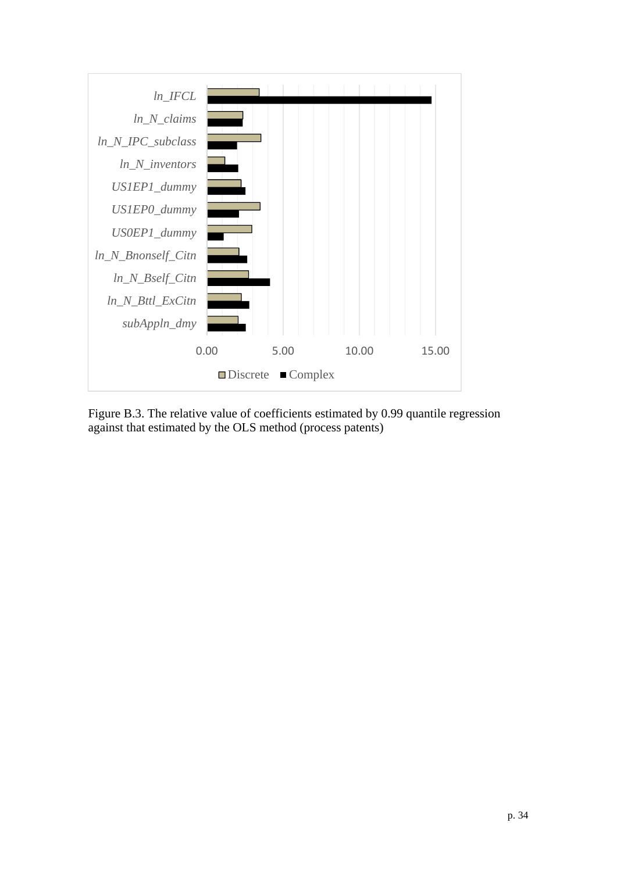

Figure B.3. The relative value of coefficients estimated by 0.99 quantile regression against that estimated by the OLS method (process patents)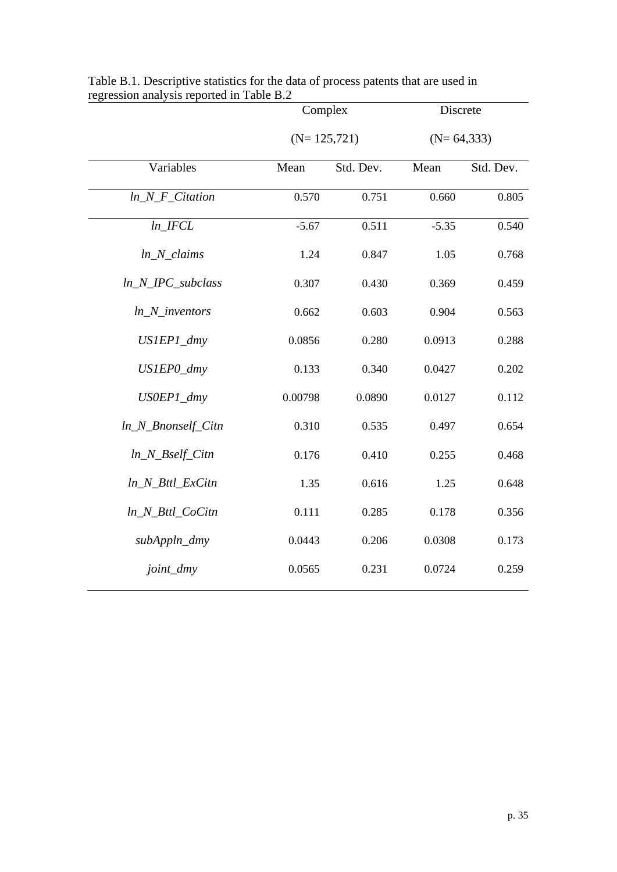|                        | Complex       |           | Discrete     |           |  |
|------------------------|---------------|-----------|--------------|-----------|--|
|                        | $(N=125,721)$ |           | $(N=64,333)$ |           |  |
| Variables              | Mean          | Std. Dev. | Mean         | Std. Dev. |  |
| $ln_N_F$ _Citation     | 0.570         | 0.751     | 0.660        | 0.805     |  |
| ln IFCL                | $-5.67$       | 0.511     | $-5.35$      | 0.540     |  |
| $ln_N_{clains}$        | 1.24          | 0.847     | 1.05         | 0.768     |  |
| $ln_N_PC$ _subclass    | 0.307         | 0.430     | 0.369        | 0.459     |  |
| $ln_N$ _inventors      | 0.662         | 0.603     | 0.904        | 0.563     |  |
| US1EP1_dmy             | 0.0856        | 0.280     | 0.0913       | 0.288     |  |
| US1EP0_dmy             | 0.133         | 0.340     | 0.0427       | 0.202     |  |
| US0EP1_dmy             | 0.00798       | 0.0890    | 0.0127       | 0.112     |  |
| $ln_N_B$ Rnonself_Citn | 0.310         | 0.535     | 0.497        | 0.654     |  |
| $ln_N_Bself_C$         | 0.176         | 0.410     | 0.255        | 0.468     |  |
| ln_N_Bttl_ExCitn       | 1.35          | 0.616     | 1.25         | 0.648     |  |
| $ln_N_B$ ttl_CoCitn    | 0.111         | 0.285     | 0.178        | 0.356     |  |
| subAppln_dmy           | 0.0443        | 0.206     | 0.0308       | 0.173     |  |
| joint_dmy              | 0.0565        | 0.231     | 0.0724       | 0.259     |  |

Table B.1. Descriptive statistics for the data of process patents that are used in regression analysis reported in Table B.2